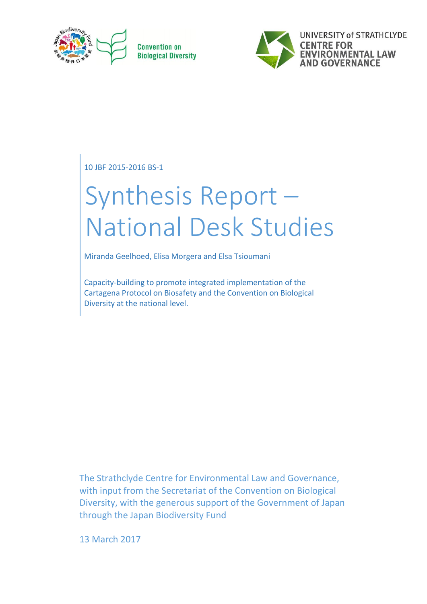

**Convention on Biological Diversity** 



10 JBF 2015-2016 BS-1

# Synthesis Report – National Desk Studies

Miranda Geelhoed, Elisa Morgera and Elsa Tsioumani

Capacity-building to promote integrated implementation of the Cartagena Protocol on Biosafety and the Convention on Biological Diversity at the national level.

The Strathclyde Centre for Environmental Law and Governance, with input from the Secretariat of the Convention on Biological Diversity, with the generous support of the Government of Japan through the Japan Biodiversity Fund

13 March 2017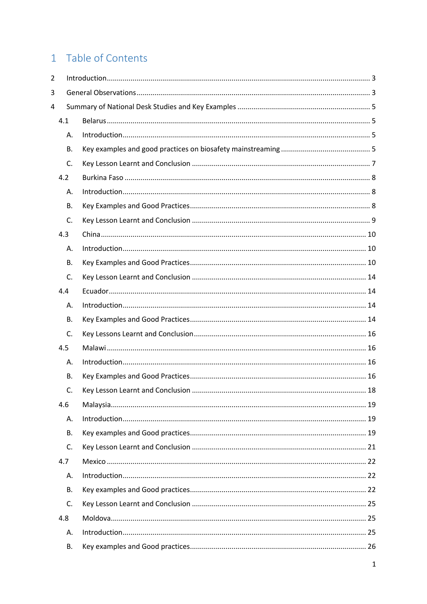# 1 Table of Contents

| $\overline{2}$ |           |  |
|----------------|-----------|--|
| 3              |           |  |
| 4              |           |  |
|                | 4.1       |  |
|                | А.        |  |
|                | <b>B.</b> |  |
|                | C.        |  |
|                | 4.2       |  |
|                | Α.        |  |
|                | <b>B.</b> |  |
|                | C.        |  |
|                | 4.3       |  |
|                | А.        |  |
|                | <b>B.</b> |  |
|                | C.        |  |
|                | 4.4       |  |
|                | А.        |  |
|                | <b>B.</b> |  |
|                | C.        |  |
|                | 4.5       |  |
|                | А.        |  |
|                | <b>B.</b> |  |
|                | C.        |  |
|                | 4.6       |  |
|                | А.        |  |
|                | В.        |  |
|                | C.        |  |
|                | 4.7       |  |
|                | Α.        |  |
|                | <b>B.</b> |  |
|                | C.        |  |
|                | 4.8       |  |
|                | А.        |  |
|                | В.        |  |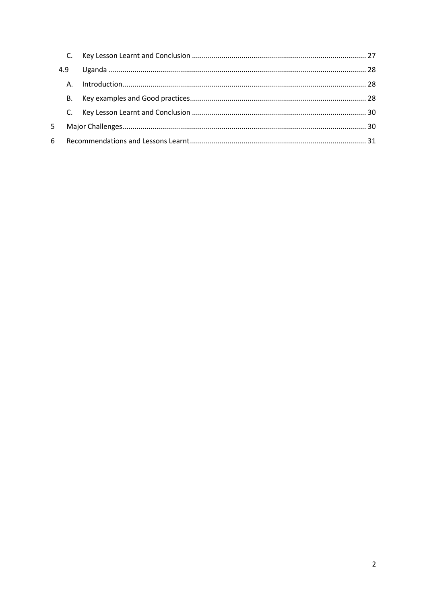|    | C.        |  |
|----|-----------|--|
|    | 4.9       |  |
|    |           |  |
|    | <b>B.</b> |  |
|    |           |  |
| 5. |           |  |
| 6. |           |  |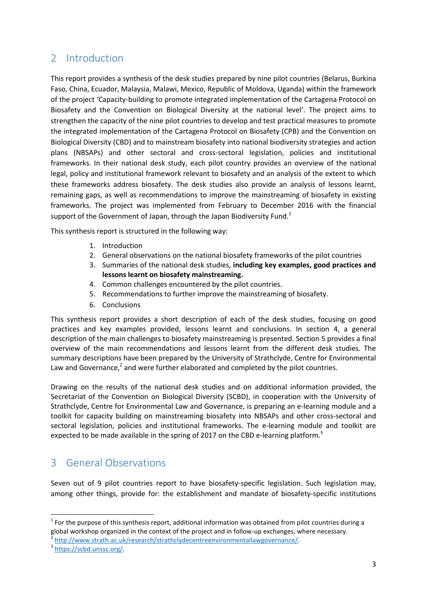# <span id="page-3-0"></span>2 Introduction

This report provides a synthesis of the desk studies prepared by nine pilot countries (Belarus, Burkina Faso, China, Ecuador, Malaysia, Malawi, Mexico, Republic of Moldova, Uganda) within the framework of the project 'Capacity-building to promote integrated implementation of the Cartagena Protocol on Biosafety and the Convention on Biological Diversity at the national level'. The project aims to strengthen the capacity of the nine pilot countries to develop and test practical measures to promote the integrated implementation of the Cartagena Protocol on Biosafety (CPB) and the Convention on Biological Diversity (CBD) and to mainstream biosafety into national biodiversity strategies and action plans (NBSAPs) and other sectoral and cross-sectoral legislation, policies and institutional frameworks. In their national desk study, each pilot country provides an overview of the national legal, policy and institutional framework relevant to biosafety and an analysis of the extent to which these frameworks address biosafety. The desk studies also provide an analysis of lessons learnt, remaining gaps, as well as recommendations to improve the mainstreaming of biosafety in existing frameworks. The project was implemented from February to December 2016 with the financial support of the Government of Japan, through the Japan Biodiversity Fund.<sup>1</sup>

This synthesis report is structured in the following way:

- 1. Introduction
- 2. General observations on the national biosafety frameworks of the pilot countries
- 3. Summaries of the national desk studies, **including key examples, good practices and lessons learnt on biosafety mainstreaming.**
- 4. Common challenges encountered by the pilot countries.
- 5. Recommendations to further improve the mainstreaming of biosafety.
- 6. Conclusions

This synthesis report provides a short description of each of the desk studies, focusing on good practices and key examples provided, lessons learnt and conclusions. In section 4, a general description of the main challenges to biosafety mainstreaming is presented. Section 5 provides a final overview of the main recommendations and lessons learnt from the different desk studies. The summary descriptions have been prepared by the University of Strathclyde, Centre for Environmental Law and Governance, $^2$  and were further elaborated and completed by the pilot countries.

Drawing on the results of the national desk studies and on additional information provided, the Secretariat of the Convention on Biological Diversity (SCBD), in cooperation with the University of Strathclyde, Centre for Environmental Law and Governance, is preparing an e-learning module and a toolkit for capacity building on mainstreaming biosafety into NBSAPs and other cross-sectoral and sectoral legislation, policies and institutional frameworks. The e-learning module and toolkit are expected to be made available in the spring of 2017 on the CBD e-learning platform.<sup>3</sup>

# <span id="page-3-1"></span>3 General Observations

Seven out of 9 pilot countries report to have biosafety-specific legislation. Such legislation may, among other things, provide for: the establishment and mandate of biosafety-specific institutions

1

 $1$  For the purpose of this synthesis report, additional information was obtained from pilot countries during a global workshop organized in the context of the project and in follow-up exchanges, where necessary.

<sup>2</sup> [http://www.strath.ac.uk/research/strathclydecentreenvironmentallawgovernance/.](http://www.strath.ac.uk/research/strathclydecentreenvironmentallawgovernance/)

<sup>&</sup>lt;sup>3</sup> https://scbd.unssc.org/.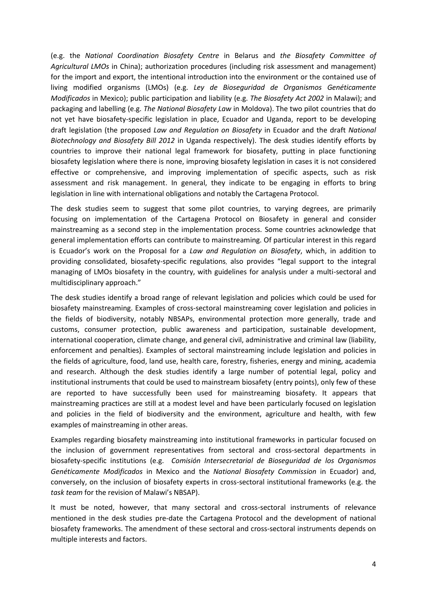(e.g. the *National Coordination Biosafety Centre* in Belarus and *the Biosafety Committee of Agricultural LMOs* in China); authorization procedures (including risk assessment and management) for the import and export, the intentional introduction into the environment or the contained use of living modified organisms (LMOs) (e.g. *Ley de Bioseguridad de Organismos Genéticamente Modificados* in Mexico); public participation and liability (e.g. *The Biosafety Act 2002* in Malawi); and packaging and labelling (e.g. *The National Biosafety Law* in Moldova). The two pilot countries that do not yet have biosafety-specific legislation in place, Ecuador and Uganda, report to be developing draft legislation (the proposed *Law and Regulation on Biosafety* in Ecuador and the draft *National Biotechnology and Biosafety Bill 2012* in Uganda respectively). The desk studies identify efforts by countries to improve their national legal framework for biosafety, putting in place functioning biosafety legislation where there is none, improving biosafety legislation in cases it is not considered effective or comprehensive, and improving implementation of specific aspects, such as risk assessment and risk management. In general, they indicate to be engaging in efforts to bring legislation in line with international obligations and notably the Cartagena Protocol.

The desk studies seem to suggest that some pilot countries, to varying degrees, are primarily focusing on implementation of the Cartagena Protocol on Biosafety in general and consider mainstreaming as a second step in the implementation process. Some countries acknowledge that general implementation efforts can contribute to mainstreaming. Of particular interest in this regard is Ecuador's work on the Proposal for a *Law and Regulation on Biosafety*, which, in addition to providing consolidated, biosafety-specific regulations, also provides "legal support to the integral managing of LMOs biosafety in the country, with guidelines for analysis under a multi-sectoral and multidisciplinary approach."

The desk studies identify a broad range of relevant legislation and policies which could be used for biosafety mainstreaming. Examples of cross-sectoral mainstreaming cover legislation and policies in the fields of biodiversity, notably NBSAPs, environmental protection more generally, trade and customs, consumer protection, public awareness and participation, sustainable development, international cooperation, climate change, and general civil, administrative and criminal law (liability, enforcement and penalties). Examples of sectoral mainstreaming include legislation and policies in the fields of agriculture, food, land use, health care, forestry, fisheries, energy and mining, academia and research. Although the desk studies identify a large number of potential legal, policy and institutional instruments that could be used to mainstream biosafety (entry points), only few of these are reported to have successfully been used for mainstreaming biosafety. It appears that mainstreaming practices are still at a modest level and have been particularly focused on legislation and policies in the field of biodiversity and the environment, agriculture and health, with few examples of mainstreaming in other areas.

Examples regarding biosafety mainstreaming into institutional frameworks in particular focused on the inclusion of government representatives from sectoral and cross-sectoral departments in biosafety-specific institutions (e.g. *Comisión Intersecretarial de Bioseguridad de los Organismos Genéticamente Modificados* in Mexico and the *National Biosafety Commission* in Ecuador) and, conversely, on the inclusion of biosafety experts in cross-sectoral institutional frameworks (e.g. the *task team* for the revision of Malawi's NBSAP).

It must be noted, however, that many sectoral and cross-sectoral instruments of relevance mentioned in the desk studies pre-date the Cartagena Protocol and the development of national biosafety frameworks. The amendment of these sectoral and cross-sectoral instruments depends on multiple interests and factors.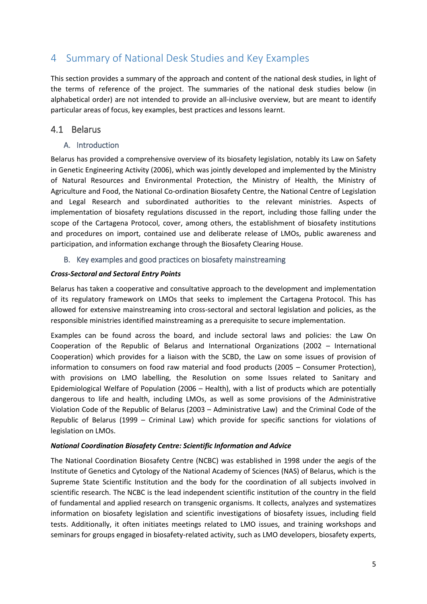# <span id="page-5-0"></span>4 Summary of National Desk Studies and Key Examples

This section provides a summary of the approach and content of the national desk studies, in light of the terms of reference of the project. The summaries of the national desk studies below (in alphabetical order) are not intended to provide an all-inclusive overview, but are meant to identify particular areas of focus, key examples, best practices and lessons learnt.

# <span id="page-5-1"></span>4.1 Belarus

# <span id="page-5-2"></span>A. Introduction

Belarus has provided a comprehensive overview of its biosafety legislation, notably its Law on Safety in Genetic Engineering Activity (2006), which was jointly developed and implemented by the Ministry of Natural Resources and Environmental Protection, the Ministry of Health, the Ministry of Agriculture and Food, the National Co-ordination Biosafety Centre, the National Centre of Legislation and Legal Research and subordinated authorities to the relevant ministries. Aspects of implementation of biosafety regulations discussed in the report, including those falling under the scope of the Cartagena Protocol, cover, among others, the establishment of biosafety institutions and procedures on import, contained use and deliberate release of LMOs, public awareness and participation, and information exchange through the Biosafety Clearing House.

# <span id="page-5-3"></span>B. Key examples and good practices on biosafety mainstreaming

# *Cross-Sectoral and Sectoral Entry Points*

Belarus has taken a cooperative and consultative approach to the development and implementation of its regulatory framework on LMOs that seeks to implement the Cartagena Protocol. This has allowed for extensive mainstreaming into cross-sectoral and sectoral legislation and policies, as the responsible ministries identified mainstreaming as a prerequisite to secure implementation.

Examples can be found across the board, and include sectoral laws and policies: the Law On Cooperation of the Republic of Belarus and International Organizations (2002 – International Cooperation) which provides for a liaison with the SCBD, the Law on some issues of provision of information to consumers on food raw material and food products (2005 – Consumer Protection), with provisions on LMO labelling, the Resolution on some Issues related to Sanitary and Epidemiological Welfare of Population (2006 – Health), with a list of products which are potentially dangerous to life and health, including LMOs, as well as some provisions of the Administrative Violation Code of the Republic of Belarus (2003 – Administrative Law) and the Criminal Code of the Republic of Belarus (1999 – Criminal Law) which provide for specific sanctions for violations of legislation on LMOs.

# *National Coordination Biosafety Centre: Scientific Information and Advice*

The National Coordination Biosafety Centre (NCBC) was established in 1998 under the aegis of the Institute of Genetics and Cytology of the National Academy of Sciences (NAS) of Belarus, which is the Supreme State Scientific Institution and the body for the coordination of all subjects involved in scientific research. The NCBC is the lead independent scientific institution of the country in the field of fundamental and applied research on transgenic organisms. It collects, analyzes and systematizes information on biosafety legislation and scientific investigations of biosafety issues, including field tests. Additionally, it often initiates meetings related to LMO issues, and training workshops and seminars for groups engaged in biosafety-related activity, such as LMO developers, biosafety experts,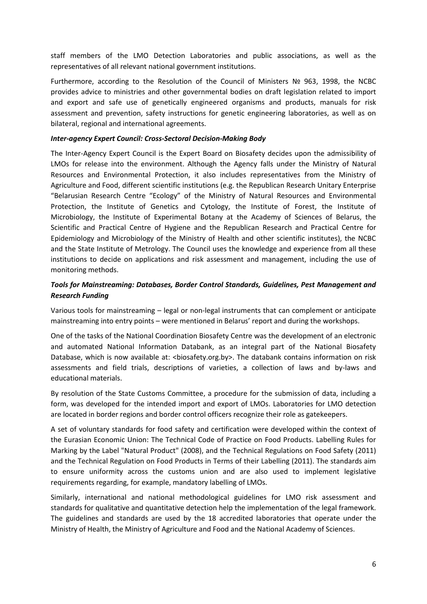staff members of the LMO Detection Laboratories and public associations, as well as the representatives of all relevant national government institutions.

Furthermore, according to the Resolution of the Council of Ministers № 963, 1998, the NCBC provides advice to ministries and other governmental bodies on draft legislation related to import and export and safe use of genetically engineered organisms and products, manuals for risk assessment and prevention, safety instructions for genetic engineering laboratories, as well as on bilateral, regional and international agreements.

#### *Inter-agency Expert Council: Cross-Sectoral Decision-Making Body*

The Inter-Agency Expert Council is the Expert Board on Biosafety decides upon the admissibility of LMOs for release into the environment. Although the Agency falls under the Ministry of Natural Resources and Environmental Protection, it also includes representatives from the Ministry of Agriculture and Food, different scientific institutions (e.g. the Republican Research Unitary Enterprise "Belarusian Research Centre "Ecology" of the Ministry of Natural Resources and Environmental Protection, the Institute of Genetics and Cytology, the Institute of Forest, the Institute of Microbiology, the Institute of Experimental Botany at the Academy of Sciences of Belarus, the Scientific and Practical Centre of Hygiene and the Republican Research and Practical Centre for Epidemiology and Microbiology of the Ministry of Health and other scientific institutes), the NCBC and the State Institute of Metrology. The Council uses the knowledge and experience from all these institutions to decide on applications and risk assessment and management, including the use of monitoring methods.

# *Tools for Mainstreaming: Databases, Border Control Standards, Guidelines, Pest Management and Research Funding*

Various tools for mainstreaming – legal or non-legal instruments that can complement or anticipate mainstreaming into entry points – were mentioned in Belarus' report and during the workshops.

One of the tasks of the National Coordination Biosafety Centre was the development of an electronic and automated National Information Databank, as an integral part of the National Biosafety Database, which is now available at: < biosafety.org.by>. The databank contains information on risk assessments and field trials, descriptions of varieties, a collection of laws and by-laws and educational materials.

By resolution of the State Customs Committee, a procedure for the submission of data, including a form, was developed for the intended import and export of LMOs. Laboratories for LMO detection are located in border regions and border control officers recognize their role as gatekeepers.

A set of voluntary standards for food safety and certification were developed within the context of the Eurasian Economic Union: The Technical Code of Practice on Food Products. Labelling Rules for Marking by the Label "Natural Product" (2008), and the Technical Regulations on Food Safety (2011) and the Technical Regulation on Food Products in Terms of their Labelling (2011). The standards aim to ensure uniformity across the customs union and are also used to implement legislative requirements regarding, for example, mandatory labelling of LMOs.

Similarly, international and national methodological guidelines for LMO risk assessment and standards for qualitative and quantitative detection help the implementation of the legal framework. The guidelines and standards are used by the 18 accredited laboratories that operate under the Ministry of Health, the Ministry of Agriculture and Food and the National Academy of Sciences.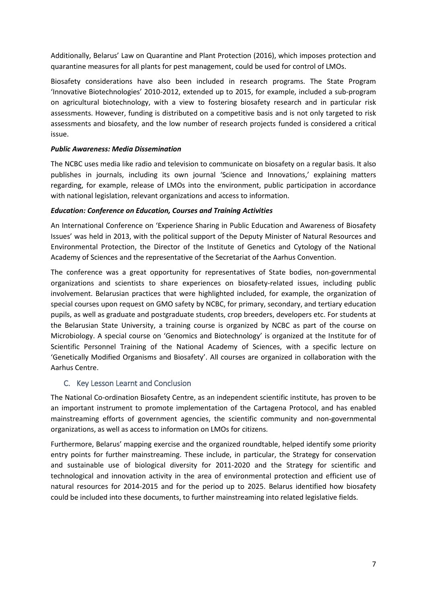Additionally, Belarus' Law on Quarantine and Plant Protection (2016), which imposes protection and quarantine measures for all plants for pest management, could be used for control of LMOs.

Biosafety considerations have also been included in research programs. The State Program 'Innovative Biotechnologies' 2010-2012, extended up to 2015, for example, included a sub-program on agricultural biotechnology, with a view to fostering biosafety research and in particular risk assessments. However, funding is distributed on a competitive basis and is not only targeted to risk assessments and biosafety, and the low number of research projects funded is considered a critical issue.

# *Public Awareness: Media Dissemination*

The NCBC uses media like radio and television to communicate on biosafety on a regular basis. It also publishes in journals, including its own journal 'Science and Innovations,' explaining matters regarding, for example, release of LMOs into the environment, public participation in accordance with national legislation, relevant organizations and access to information.

#### *Education: Conference on Education, Courses and Training Activities*

An International Conference on 'Experience Sharing in Public Education and Awareness of Biosafety Issues' was held in 2013, with the political support of the Deputy Minister of Natural Resources and Environmental Protection, the Director of the Institute of Genetics and Cytology of the National Academy of Sciences and the representative of the Secretariat of the Aarhus Convention.

The conference was a great opportunity for representatives of State bodies, non-governmental organizations and scientists to share experiences on biosafety-related issues, including public involvement. Belarusian practices that were highlighted included, for example, the organization of special courses upon request on GMO safety by NCBC, for primary, secondary, and tertiary education pupils, as well as graduate and postgraduate students, crop breeders, developers etc. For students at the Belarusian State University, a training course is organized by NCBC as part of the course on Microbiology. A special course on 'Genomics and Biotechnology' is organized at the Institute for of Scientific Personnel Training of the National Academy of Sciences, with a specific lecture on 'Genetically Modified Organisms and Biosafety'. All courses are organized in collaboration with the Aarhus Centre.

# <span id="page-7-0"></span>C. Key Lesson Learnt and Conclusion

The National Co-ordination Biosafety Centre, as an independent scientific institute, has proven to be an important instrument to promote implementation of the Cartagena Protocol, and has enabled mainstreaming efforts of government agencies, the scientific community and non-governmental organizations, as well as access to information on LMOs for citizens.

Furthermore, Belarus' mapping exercise and the organized roundtable, helped identify some priority entry points for further mainstreaming. These include, in particular, the Strategy for conservation and sustainable use of biological diversity for 2011-2020 and the Strategy for scientific and technological and innovation activity in the area of environmental protection and efficient use of natural resources for 2014-2015 and for the period up to 2025. Belarus identified how biosafety could be included into these documents, to further mainstreaming into related legislative fields.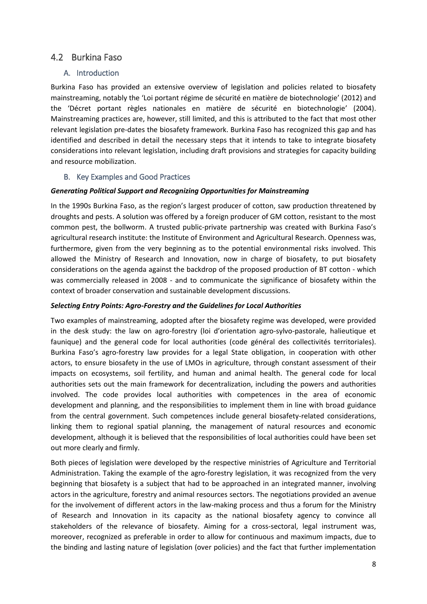# <span id="page-8-0"></span>4.2 Burkina Faso

# <span id="page-8-1"></span>A. Introduction

Burkina Faso has provided an extensive overview of legislation and policies related to biosafety mainstreaming, notably the 'Loi portant régime de sécurité en matière de biotechnologie' (2012) and the 'Décret portant règles nationales en matière de sécurité en biotechnologie' (2004). Mainstreaming practices are, however, still limited, and this is attributed to the fact that most other relevant legislation pre-dates the biosafety framework. Burkina Faso has recognized this gap and has identified and described in detail the necessary steps that it intends to take to integrate biosafety considerations into relevant legislation, including draft provisions and strategies for capacity building and resource mobilization.

# <span id="page-8-2"></span>B. Key Examples and Good Practices

# *Generating Political Support and Recognizing Opportunities for Mainstreaming*

In the 1990s Burkina Faso, as the region's largest producer of cotton, saw production threatened by droughts and pests. A solution was offered by a foreign producer of GM cotton, resistant to the most common pest, the bollworm. A trusted public-private partnership was created with Burkina Faso's agricultural research institute: the Institute of Environment and Agricultural Research. Openness was, furthermore, given from the very beginning as to the potential environmental risks involved. This allowed the Ministry of Research and Innovation, now in charge of biosafety, to put biosafety considerations on the agenda against the backdrop of the proposed production of BT cotton - which was commercially released in 2008 - and to communicate the significance of biosafety within the context of broader conservation and sustainable development discussions.

#### *Selecting Entry Points: Agro-Forestry and the Guidelines for Local Authorities*

Two examples of mainstreaming, adopted after the biosafety regime was developed, were provided in the desk study: the law on agro-forestry (loi d'orientation agro-sylvo-pastorale, halieutique et faunique) and the general code for local authorities (code général des collectivités territoriales). Burkina Faso's agro-forestry law provides for a legal State obligation, in cooperation with other actors, to ensure biosafety in the use of LMOs in agriculture, through constant assessment of their impacts on ecosystems, soil fertility, and human and animal health. The general code for local authorities sets out the main framework for decentralization, including the powers and authorities involved. The code provides local authorities with competences in the area of economic development and planning, and the responsibilities to implement them in line with broad guidance from the central government. Such competences include general biosafety-related considerations, linking them to regional spatial planning, the management of natural resources and economic development, although it is believed that the responsibilities of local authorities could have been set out more clearly and firmly.

Both pieces of legislation were developed by the respective ministries of Agriculture and Territorial Administration. Taking the example of the agro-forestry legislation, it was recognized from the very beginning that biosafety is a subject that had to be approached in an integrated manner, involving actors in the agriculture, forestry and animal resources sectors. The negotiations provided an avenue for the involvement of different actors in the law-making process and thus a forum for the Ministry of Research and Innovation in its capacity as the national biosafety agency to convince all stakeholders of the relevance of biosafety. Aiming for a cross-sectoral, legal instrument was, moreover, recognized as preferable in order to allow for continuous and maximum impacts, due to the binding and lasting nature of legislation (over policies) and the fact that further implementation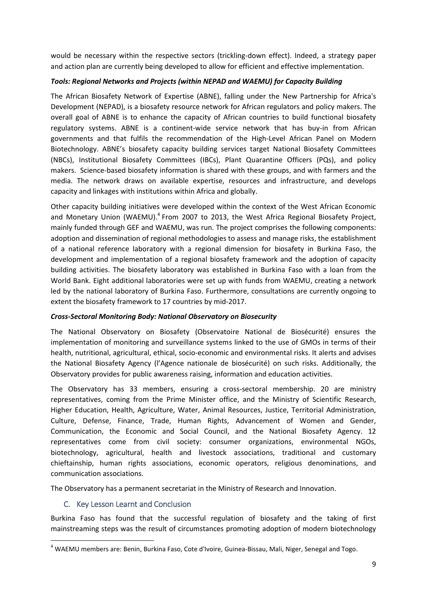would be necessary within the respective sectors (trickling-down effect). Indeed, a strategy paper and action plan are currently being developed to allow for efficient and effective implementation.

# *Tools: Regional Networks and Projects (within NEPAD and WAEMU) for Capacity Building*

The African Biosafety Network of Expertise (ABNE), falling under the New Partnership for Africa's Development (NEPAD), is a biosafety resource network for African regulators and policy makers. The overall goal of ABNE is to enhance the capacity of African countries to build functional biosafety regulatory systems. ABNE is a continent-wide service network that has buy-in from African governments and that fulfils the recommendation of the High-Level African Panel on Modern Biotechnology. ABNE's biosafety capacity building services target National Biosafety Committees (NBCs), Institutional Biosafety Committees (IBCs), Plant Quarantine Officers (PQs), and policy makers. Science-based biosafety information is shared with these groups, and with farmers and the media. The network draws on available expertise, resources and infrastructure, and develops capacity and linkages with institutions within Africa and globally.

Other capacity building initiatives were developed within the context of the West African Economic and Monetary Union (WAEMU).<sup>4</sup> From 2007 to 2013, the West Africa Regional Biosafety Project, mainly funded through GEF and WAEMU, was run. The project comprises the following components: adoption and dissemination of regional methodologies to assess and manage risks, the establishment of a national reference laboratory with a regional dimension for biosafety in Burkina Faso, the development and implementation of a regional biosafety framework and the adoption of capacity building activities. The biosafety laboratory was established in Burkina Faso with a loan from the World Bank. Eight additional laboratories were set up with funds from WAEMU, creating a network led by the national laboratory of Burkina Faso. Furthermore, consultations are currently ongoing to extent the biosafety framework to 17 countries by mid-2017.

#### *Cross-Sectoral Monitoring Body: National Observatory on Biosecurity*

The National Observatory on Biosafety (Observatoire National de Biosécurité) ensures the implementation of monitoring and surveillance systems linked to the use of GMOs in terms of their health, nutritional, agricultural, ethical, socio-economic and environmental risks. It alerts and advises the National Biosafety Agency (l'Agence nationale de biosécurité) on such risks. Additionally, the Observatory provides for public awareness raising, information and education activities.

The Observatory has 33 members, ensuring a cross-sectoral membership. 20 are ministry representatives, coming from the Prime Minister office, and the Ministry of Scientific Research, Higher Education, Health, Agriculture, Water, Animal Resources, Justice, Territorial Administration, Culture, Defense, Finance, Trade, Human Rights, Advancement of Women and Gender, Communication, the Economic and Social Council, and the National Biosafety Agency. 12 representatives come from civil society: consumer organizations, environmental NGOs, biotechnology, agricultural, health and livestock associations, traditional and customary chieftainship, human rights associations, economic operators, religious denominations, and communication associations.

<span id="page-9-0"></span>The Observatory has a permanent secretariat in the Ministry of Research and Innovation.

# C. Key Lesson Learnt and Conclusion

**.** 

Burkina Faso has found that the successful regulation of biosafety and the taking of first mainstreaming steps was the result of circumstances promoting adoption of modern biotechnology

 $<sup>4</sup>$  WAEMU members are: Benin, Burkina Faso, Cote d'Ivoire, Guinea-Bissau, Mali, Niger, Senegal and Togo.</sup>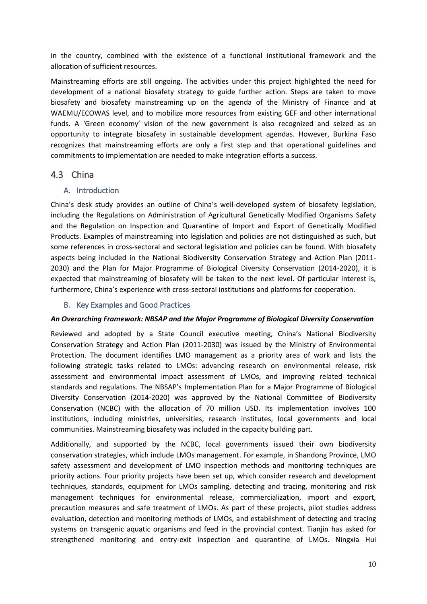in the country, combined with the existence of a functional institutional framework and the allocation of sufficient resources.

Mainstreaming efforts are still ongoing. The activities under this project highlighted the need for development of a national biosafety strategy to guide further action. Steps are taken to move biosafety and biosafety mainstreaming up on the agenda of the Ministry of Finance and at WAEMU/ECOWAS level, and to mobilize more resources from existing GEF and other international funds. A 'Green economy' vision of the new government is also recognized and seized as an opportunity to integrate biosafety in sustainable development agendas. However, Burkina Faso recognizes that mainstreaming efforts are only a first step and that operational guidelines and commitments to implementation are needed to make integration efforts a success.

# <span id="page-10-0"></span>4.3 China

# <span id="page-10-1"></span>A. Introduction

China's desk study provides an outline of China's well-developed system of biosafety legislation, including the Regulations on Administration of Agricultural Genetically Modified Organisms Safety and the Regulation on Inspection and Quarantine of Import and Export of Genetically Modified Products. Examples of mainstreaming into legislation and policies are not distinguished as such, but some references in cross-sectoral and sectoral legislation and policies can be found. With biosafety aspects being included in the National Biodiversity Conservation Strategy and Action Plan (2011- 2030) and the Plan for Major Programme of Biological Diversity Conservation (2014-2020), it is expected that mainstreaming of biosafety will be taken to the next level. Of particular interest is, furthermore, China's experience with cross-sectoral institutions and platforms for cooperation.

# B. Key Examples and Good Practices

# <span id="page-10-2"></span>*An Overarching Framework: NBSAP and the Major Programme of Biological Diversity Conservation*

Reviewed and adopted by a State Council executive meeting, China's National Biodiversity Conservation Strategy and Action Plan (2011-2030) was issued by the Ministry of Environmental Protection. The document identifies LMO management as a priority area of work and lists the following strategic tasks related to LMOs: advancing research on environmental release, risk assessment and environmental impact assessment of LMOs, and improving related technical standards and regulations. The NBSAP's Implementation Plan for a Major Programme of Biological Diversity Conservation (2014-2020) was approved by the National Committee of Biodiversity Conservation (NCBC) with the allocation of 70 million USD. Its implementation involves 100 institutions, including ministries, universities, research institutes, local governments and local communities. Mainstreaming biosafety was included in the capacity building part.

Additionally, and supported by the NCBC, local governments issued their own biodiversity conservation strategies, which include LMOs management. For example, in Shandong Province, LMO safety assessment and development of LMO inspection methods and monitoring techniques are priority actions. Four priority projects have been set up, which consider research and development techniques, standards, equipment for LMOs sampling, detecting and tracing, monitoring and risk management techniques for environmental release, commercialization, import and export, precaution measures and safe treatment of LMOs. As part of these projects, pilot studies address evaluation, detection and monitoring methods of LMOs, and establishment of detecting and tracing systems on transgenic aquatic organisms and feed in the provincial context. Tianjin has asked for strengthened monitoring and entry-exit inspection and quarantine of LMOs. Ningxia Hui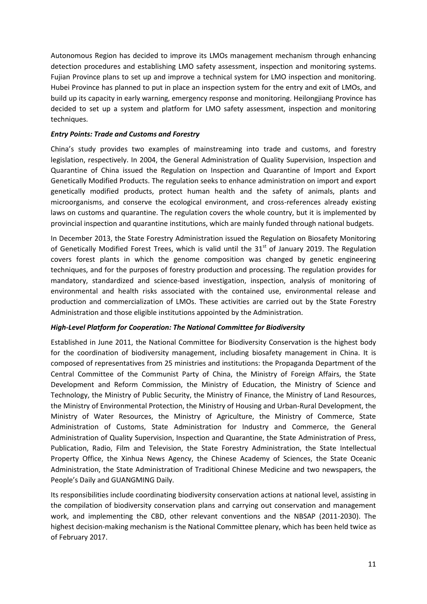Autonomous Region has decided to improve its LMOs management mechanism through enhancing detection procedures and establishing LMO safety assessment, inspection and monitoring systems. Fujian Province plans to set up and improve a technical system for LMO inspection and monitoring. Hubei Province has planned to put in place an inspection system for the entry and exit of LMOs, and build up its capacity in early warning, emergency response and monitoring. Heilongjiang Province has decided to set up a system and platform for LMO safety assessment, inspection and monitoring techniques.

# *Entry Points: Trade and Customs and Forestry*

China's study provides two examples of mainstreaming into trade and customs, and forestry legislation, respectively. In 2004, the General Administration of Quality Supervision, Inspection and Quarantine of China issued the Regulation on Inspection and Quarantine of Import and Export Genetically Modified Products. The regulation seeks to enhance administration on import and export genetically modified products, protect human health and the safety of animals, plants and microorganisms, and conserve the ecological environment, and cross-references already existing laws on customs and quarantine. The regulation covers the whole country, but it is implemented by provincial inspection and quarantine institutions, which are mainly funded through national budgets.

In December 2013, the State Forestry Administration issued the Regulation on Biosafety Monitoring of Genetically Modified Forest Trees, which is valid until the 31<sup>st</sup> of January 2019. The Regulation covers forest plants in which the genome composition was changed by genetic engineering techniques, and for the purposes of forestry production and processing. The regulation provides for mandatory, standardized and science-based investigation, inspection, analysis of monitoring of environmental and health risks associated with the contained use, environmental release and production and commercialization of LMOs. These activities are carried out by the State Forestry Administration and those eligible institutions appointed by the Administration.

#### *High-Level Platform for Cooperation: The National Committee for Biodiversity*

Established in June 2011, the National Committee for Biodiversity Conservation is the highest body for the coordination of biodiversity management, including biosafety management in China. It is composed of representatives from 25 ministries and institutions: the Propaganda Department of the Central Committee of the Communist Party of China, the Ministry of Foreign Affairs, the State Development and Reform Commission, the Ministry of Education, the Ministry of Science and Technology, the Ministry of Public Security, the Ministry of Finance, the Ministry of Land Resources, the Ministry of Environmental Protection, the Ministry of Housing and Urban-Rural Development, the Ministry of Water Resources, the Ministry of Agriculture, the Ministry of Commerce, State Administration of Customs, State Administration for Industry and Commerce, the General Administration of Quality Supervision, Inspection and Quarantine, the State Administration of Press, Publication, Radio, Film and Television, the State Forestry Administration, the State Intellectual Property Office, the Xinhua News Agency, the Chinese Academy of Sciences, the State Oceanic Administration, the State Administration of Traditional Chinese Medicine and two newspapers, the People's Daily and GUANGMING Daily.

Its responsibilities include coordinating biodiversity conservation actions at national level, assisting in the compilation of biodiversity conservation plans and carrying out conservation and management work, and implementing the CBD, other relevant conventions and the NBSAP (2011-2030). The highest decision-making mechanism is the National Committee plenary, which has been held twice as of February 2017.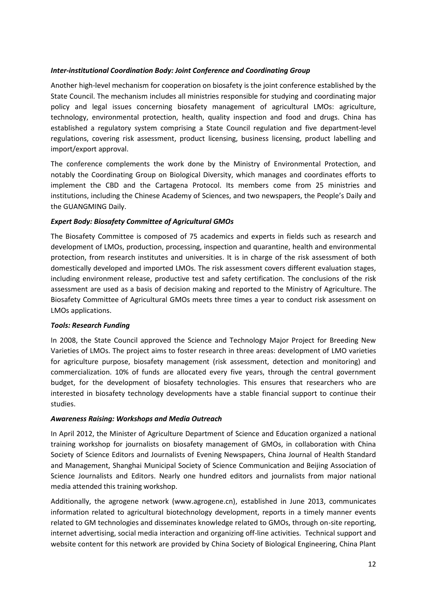# *Inter-institutional Coordination Body: Joint Conference and Coordinating Group*

Another high-level mechanism for cooperation on biosafety is the joint conference established by the State Council. The mechanism includes all ministries responsible for studying and coordinating major policy and legal issues concerning biosafety management of agricultural LMOs: agriculture, technology, environmental protection, health, quality inspection and food and drugs. China has established a regulatory system comprising a State Council regulation and five department-level regulations, covering risk assessment, product licensing, business licensing, product labelling and import/export approval.

The conference complements the work done by the Ministry of Environmental Protection, and notably the Coordinating Group on Biological Diversity, which manages and coordinates efforts to implement the CBD and the Cartagena Protocol. Its members come from 25 ministries and institutions, including the Chinese Academy of Sciences, and two newspapers, the People's Daily and the GUANGMING Daily.

# *Expert Body: Biosafety Committee of Agricultural GMOs*

The Biosafety Committee is composed of 75 academics and experts in fields such as research and development of LMOs, production, processing, inspection and quarantine, health and environmental protection, from research institutes and universities. It is in charge of the risk assessment of both domestically developed and imported LMOs. The risk assessment covers different evaluation stages, including environment release, productive test and safety certification. The conclusions of the risk assessment are used as a basis of decision making and reported to the Ministry of Agriculture. The Biosafety Committee of Agricultural GMOs meets three times a year to conduct risk assessment on LMOs applications.

# *Tools: Research Funding*

In 2008, the State Council approved the Science and Technology Major Project for Breeding New Varieties of LMOs. The project aims to foster research in three areas: development of LMO varieties for agriculture purpose, biosafety management (risk assessment, detection and monitoring) and commercialization. 10% of funds are allocated every five years, through the central government budget, for the development of biosafety technologies. This ensures that researchers who are interested in biosafety technology developments have a stable financial support to continue their studies.

# *Awareness Raising: Workshops and Media Outreach*

In April 2012, the Minister of Agriculture Department of Science and Education organized a national training workshop for journalists on biosafety management of GMOs, in collaboration with China Society of Science Editors and Journalists of Evening Newspapers, China Journal of Health Standard and Management, Shanghai Municipal Society of Science Communication and Beijing Association of Science Journalists and Editors. Nearly one hundred editors and journalists from major national media attended this training workshop.

Additionally, the agrogene network (www.agrogene.cn), established in June 2013, communicates information related to agricultural biotechnology development, reports in a timely manner events related to GM technologies and disseminates knowledge related to GMOs, through on-site reporting, internet advertising, social media interaction and organizing off-line activities. Technical support and website content for this network are provided by China Society of Biological Engineering, China Plant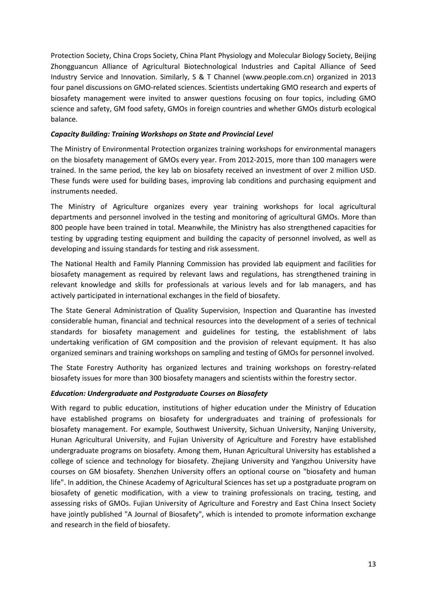Protection Society, China Crops Society, China Plant Physiology and Molecular Biology Society, Beijing Zhongguancun Alliance of Agricultural Biotechnological Industries and Capital Alliance of Seed Industry Service and Innovation. Similarly, S & T Channel (www.people.com.cn) organized in 2013 four panel discussions on GMO-related sciences. Scientists undertaking GMO research and experts of biosafety management were invited to answer questions focusing on four topics, including GMO science and safety, GM food safety, GMOs in foreign countries and whether GMOs disturb ecological balance.

# *Capacity Building: Training Workshops on State and Provincial Level*

The Ministry of Environmental Protection organizes training workshops for environmental managers on the biosafety management of GMOs every year. From 2012-2015, more than 100 managers were trained. In the same period, the key lab on biosafety received an investment of over 2 million USD. These funds were used for building bases, improving lab conditions and purchasing equipment and instruments needed.

The Ministry of Agriculture organizes every year training workshops for local agricultural departments and personnel involved in the testing and monitoring of agricultural GMOs. More than 800 people have been trained in total. Meanwhile, the Ministry has also strengthened capacities for testing by upgrading testing equipment and building the capacity of personnel involved, as well as developing and issuing standards for testing and risk assessment.

The National Health and Family Planning Commission has provided lab equipment and facilities for biosafety management as required by relevant laws and regulations, has strengthened training in relevant knowledge and skills for professionals at various levels and for lab managers, and has actively participated in international exchanges in the field of biosafety.

The State General Administration of Quality Supervision, Inspection and Quarantine has invested considerable human, financial and technical resources into the development of a series of technical standards for biosafety management and guidelines for testing, the establishment of labs undertaking verification of GM composition and the provision of relevant equipment. It has also organized seminars and training workshops on sampling and testing of GMOs for personnel involved.

The State Forestry Authority has organized lectures and training workshops on forestry-related biosafety issues for more than 300 biosafety managers and scientists within the forestry sector.

#### *Education: Undergraduate and Postgraduate Courses on Biosafety*

With regard to public education, institutions of higher education under the Ministry of Education have established programs on biosafety for undergraduates and training of professionals for biosafety management. For example, Southwest University, Sichuan University, Nanjing University, Hunan Agricultural University, and Fujian University of Agriculture and Forestry have established undergraduate programs on biosafety. Among them, Hunan Agricultural University has established a college of science and technology for biosafety. Zhejiang University and Yangzhou University have courses on GM biosafety. Shenzhen University offers an optional course on "biosafety and human life". In addition, the Chinese Academy of Agricultural Sciences has set up a postgraduate program on biosafety of genetic modification, with a view to training professionals on tracing, testing, and assessing risks of GMOs. Fujian University of Agriculture and Forestry and East China Insect Society have jointly published "A Journal of Biosafety", which is intended to promote information exchange and research in the field of biosafety.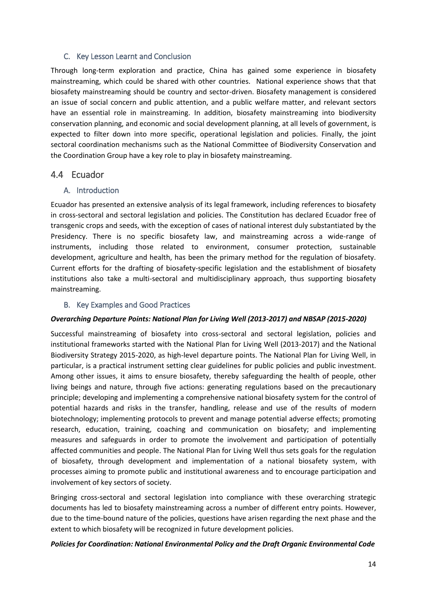# <span id="page-14-0"></span>C. Key Lesson Learnt and Conclusion

Through long-term exploration and practice, China has gained some experience in biosafety mainstreaming, which could be shared with other countries. National experience shows that that biosafety mainstreaming should be country and sector-driven. Biosafety management is considered an issue of social concern and public attention, and a public welfare matter, and relevant sectors have an essential role in mainstreaming. In addition, biosafety mainstreaming into biodiversity conservation planning, and economic and social development planning, at all levels of government, is expected to filter down into more specific, operational legislation and policies. Finally, the joint sectoral coordination mechanisms such as the National Committee of Biodiversity Conservation and the Coordination Group have a key role to play in biosafety mainstreaming.

# <span id="page-14-1"></span>4.4 Ecuador

# <span id="page-14-2"></span>A. Introduction

Ecuador has presented an extensive analysis of its legal framework, including references to biosafety in cross-sectoral and sectoral legislation and policies. The Constitution has declared Ecuador free of transgenic crops and seeds, with the exception of cases of national interest duly substantiated by the Presidency. There is no specific biosafety law, and mainstreaming across a wide-range of instruments, including those related to environment, consumer protection, sustainable development, agriculture and health, has been the primary method for the regulation of biosafety. Current efforts for the drafting of biosafety-specific legislation and the establishment of biosafety institutions also take a multi-sectoral and multidisciplinary approach, thus supporting biosafety mainstreaming.

# B. Key Examples and Good Practices

# <span id="page-14-3"></span>*Overarching Departure Points: National Plan for Living Well (2013-2017) and NBSAP (2015-2020)*

Successful mainstreaming of biosafety into cross-sectoral and sectoral legislation, policies and institutional frameworks started with the National Plan for Living Well (2013-2017) and the National Biodiversity Strategy 2015-2020, as high-level departure points. The National Plan for Living Well, in particular, is a practical instrument setting clear guidelines for public policies and public investment. Among other issues, it aims to ensure biosafety, thereby safeguarding the health of people, other living beings and nature, through five actions: generating regulations based on the precautionary principle; developing and implementing a comprehensive national biosafety system for the control of potential hazards and risks in the transfer, handling, release and use of the results of modern biotechnology; implementing protocols to prevent and manage potential adverse effects; promoting research, education, training, coaching and communication on biosafety; and implementing measures and safeguards in order to promote the involvement and participation of potentially affected communities and people. The National Plan for Living Well thus sets goals for the regulation of biosafety, through development and implementation of a national biosafety system, with processes aiming to promote public and institutional awareness and to encourage participation and involvement of key sectors of society.

Bringing cross-sectoral and sectoral legislation into compliance with these overarching strategic documents has led to biosafety mainstreaming across a number of different entry points. However, due to the time-bound nature of the policies, questions have arisen regarding the next phase and the extent to which biosafety will be recognized in future development policies.

#### *Policies for Coordination: National Environmental Policy and the Draft Organic Environmental Code*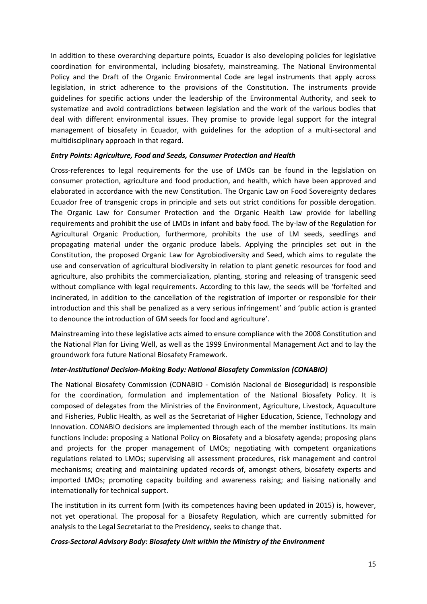In addition to these overarching departure points, Ecuador is also developing policies for legislative coordination for environmental, including biosafety, mainstreaming. The National Environmental Policy and the Draft of the Organic Environmental Code are legal instruments that apply across legislation, in strict adherence to the provisions of the Constitution. The instruments provide guidelines for specific actions under the leadership of the Environmental Authority, and seek to systematize and avoid contradictions between legislation and the work of the various bodies that deal with different environmental issues. They promise to provide legal support for the integral management of biosafety in Ecuador, with guidelines for the adoption of a multi-sectoral and multidisciplinary approach in that regard.

#### *Entry Points: Agriculture, Food and Seeds, Consumer Protection and Health*

Cross-references to legal requirements for the use of LMOs can be found in the legislation on consumer protection, agriculture and food production, and health, which have been approved and elaborated in accordance with the new Constitution. The Organic Law on Food Sovereignty declares Ecuador free of transgenic crops in principle and sets out strict conditions for possible derogation. The Organic Law for Consumer Protection and the Organic Health Law provide for labelling requirements and prohibit the use of LMOs in infant and baby food. The by-law of the Regulation for Agricultural Organic Production, furthermore, prohibits the use of LM seeds, seedlings and propagating material under the organic produce labels. Applying the principles set out in the Constitution, the proposed Organic Law for Agrobiodiversity and Seed, which aims to regulate the use and conservation of agricultural biodiversity in relation to plant genetic resources for food and agriculture, also prohibits the commercialization, planting, storing and releasing of transgenic seed without compliance with legal requirements. According to this law, the seeds will be 'forfeited and incinerated, in addition to the cancellation of the registration of importer or responsible for their introduction and this shall be penalized as a very serious infringement' and 'public action is granted to denounce the introduction of GM seeds for food and agriculture'.

Mainstreaming into these legislative acts aimed to ensure compliance with the 2008 Constitution and the National Plan for Living Well, as well as the 1999 Environmental Management Act and to lay the groundwork fora future National Biosafety Framework.

# *Inter-Institutional Decision-Making Body: National Biosafety Commission (CONABIO)*

The National Biosafety Commission (CONABIO - Comisión Nacional de Bioseguridad) is responsible for the coordination, formulation and implementation of the National Biosafety Policy. It is composed of delegates from the Ministries of the Environment, Agriculture, Livestock, Aquaculture and Fisheries, Public Health, as well as the Secretariat of Higher Education, Science, Technology and Innovation. CONABIO decisions are implemented through each of the member institutions. Its main functions include: proposing a National Policy on Biosafety and a biosafety agenda; proposing plans and projects for the proper management of LMOs; negotiating with competent organizations regulations related to LMOs; supervising all assessment procedures, risk management and control mechanisms; creating and maintaining updated records of, amongst others, biosafety experts and imported LMOs; promoting capacity building and awareness raising; and liaising nationally and internationally for technical support.

The institution in its current form (with its competences having been updated in 2015) is, however, not yet operational. The proposal for a Biosafety Regulation, which are currently submitted for analysis to the Legal Secretariat to the Presidency, seeks to change that.

#### *Cross-Sectoral Advisory Body: Biosafety Unit within the Ministry of the Environment*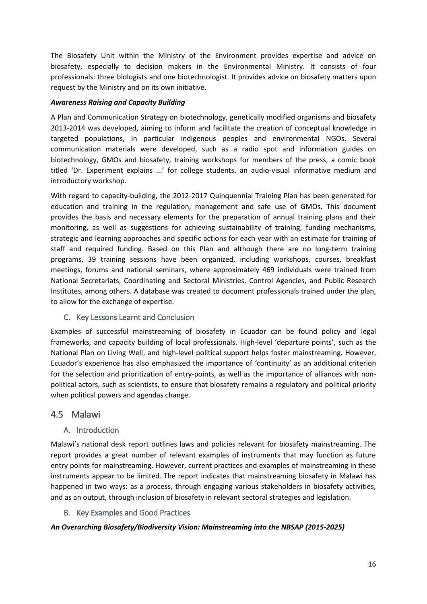The Biosafety Unit within the Ministry of the Environment provides expertise and advice on biosafety, especially to decision makers in the Environmental Ministry. It consists of four professionals: three biologists and one biotechnologist. It provides advice on biosafety matters upon request by the Ministry and on its own initiative.

# *Awareness Raising and Capacity Building*

A Plan and Communication Strategy on biotechnology, genetically modified organisms and biosafety 2013-2014 was developed, aiming to inform and facilitate the creation of conceptual knowledge in targeted populations, in particular indigenous peoples and environmental NGOs. Several communication materials were developed, such as a radio spot and information guides on biotechnology, GMOs and biosafety, training workshops for members of the press, a comic book titled 'Dr. Experiment explains ...' for college students, an audio-visual informative medium and introductory workshop.

With regard to capacity-building, the 2012-2017 Quinquennial Training Plan has been generated for education and training in the regulation, management and safe use of GMOs. This document provides the basis and necessary elements for the preparation of annual training plans and their monitoring, as well as suggestions for achieving sustainability of training, funding mechanisms, strategic and learning approaches and specific actions for each year with an estimate for training of staff and required funding. Based on this Plan and although there are no long-term training programs, 39 training sessions have been organized, including workshops, courses, breakfast meetings, forums and national seminars, where approximately 469 individuals were trained from National Secretariats, Coordinating and Sectoral Ministries, Control Agencies, and Public Research Institutes, among others. A database was created to document professionals trained under the plan, to allow for the exchange of expertise.

# <span id="page-16-0"></span>C. Key Lessons Learnt and Conclusion

Examples of successful mainstreaming of biosafety in Ecuador can be found policy and legal frameworks, and capacity building of local professionals. High-level 'departure points', such as the National Plan on Living Well, and high-level political support helps foster mainstreaming. However, Ecuador's experience has also emphasized the importance of 'continuity' as an additional criterion for the selection and prioritization of entry-points, as well as the importance of alliances with nonpolitical actors, such as scientists, to ensure that biosafety remains a regulatory and political priority when political powers and agendas change.

# <span id="page-16-1"></span>4.5 Malawi

# <span id="page-16-2"></span>A. Introduction

Malawi's national desk report outlines laws and policies relevant for biosafety mainstreaming. The report provides a great number of relevant examples of instruments that may function as future entry points for mainstreaming. However, current practices and examples of mainstreaming in these instruments appear to be limited. The report indicates that mainstreaming biosafety in Malawi has happened in two ways: as a process, through engaging various stakeholders in biosafety activities, and as an output, through inclusion of biosafety in relevant sectoral strategies and legislation.

# B. Key Examples and Good Practices

# <span id="page-16-3"></span>*An Overarching Biosafety/Biodiversity Vision: Mainstreaming into the NBSAP (2015-2025)*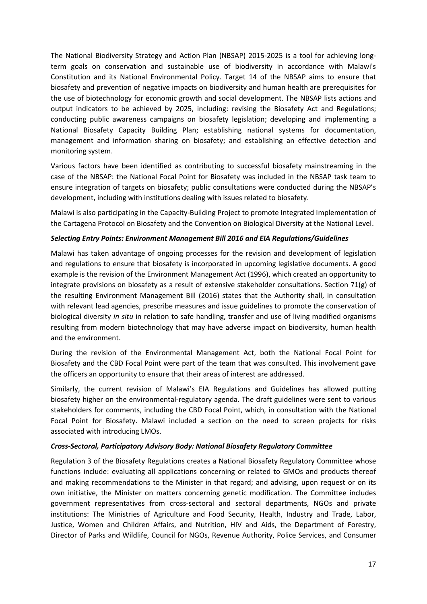The National Biodiversity Strategy and Action Plan (NBSAP) 2015-2025 is a tool for achieving longterm goals on conservation and sustainable use of biodiversity in accordance with Malawi's Constitution and its National Environmental Policy. Target 14 of the NBSAP aims to ensure that biosafety and prevention of negative impacts on biodiversity and human health are prerequisites for the use of biotechnology for economic growth and social development. The NBSAP lists actions and output indicators to be achieved by 2025, including: revising the Biosafety Act and Regulations; conducting public awareness campaigns on biosafety legislation; developing and implementing a National Biosafety Capacity Building Plan; establishing national systems for documentation, management and information sharing on biosafety; and establishing an effective detection and monitoring system.

Various factors have been identified as contributing to successful biosafety mainstreaming in the case of the NBSAP: the National Focal Point for Biosafety was included in the NBSAP task team to ensure integration of targets on biosafety; public consultations were conducted during the NBSAP's development, including with institutions dealing with issues related to biosafety.

Malawi is also participating in the Capacity-Building Project to promote Integrated Implementation of the Cartagena Protocol on Biosafety and the Convention on Biological Diversity at the National Level.

#### *Selecting Entry Points: Environment Management Bill 2016 and EIA Regulations/Guidelines*

Malawi has taken advantage of ongoing processes for the revision and development of legislation and regulations to ensure that biosafety is incorporated in upcoming legislative documents. A good example is the revision of the Environment Management Act (1996), which created an opportunity to integrate provisions on biosafety as a result of extensive stakeholder consultations. Section 71(g) of the resulting Environment Management Bill (2016) states that the Authority shall, in consultation with relevant lead agencies, prescribe measures and issue guidelines to promote the conservation of biological diversity *in situ* in relation to safe handling, transfer and use of living modified organisms resulting from modern biotechnology that may have adverse impact on biodiversity, human health and the environment.

During the revision of the Environmental Management Act, both the National Focal Point for Biosafety and the CBD Focal Point were part of the team that was consulted. This involvement gave the officers an opportunity to ensure that their areas of interest are addressed.

Similarly, the current revision of Malawi's EIA Regulations and Guidelines has allowed putting biosafety higher on the environmental-regulatory agenda. The draft guidelines were sent to various stakeholders for comments, including the CBD Focal Point, which, in consultation with the National Focal Point for Biosafety. Malawi included a section on the need to screen projects for risks associated with introducing LMOs.

#### *Cross-Sectoral, Participatory Advisory Body: National Biosafety Regulatory Committee*

Regulation 3 of the Biosafety Regulations creates a National Biosafety Regulatory Committee whose functions include: evaluating all applications concerning or related to GMOs and products thereof and making recommendations to the Minister in that regard; and advising, upon request or on its own initiative, the Minister on matters concerning genetic modification. The Committee includes government representatives from cross-sectoral and sectoral departments, NGOs and private institutions: The Ministries of Agriculture and Food Security, Health, Industry and Trade, Labor, Justice, Women and Children Affairs, and Nutrition, HIV and Aids, the Department of Forestry, Director of Parks and Wildlife, Council for NGOs, Revenue Authority, Police Services, and Consumer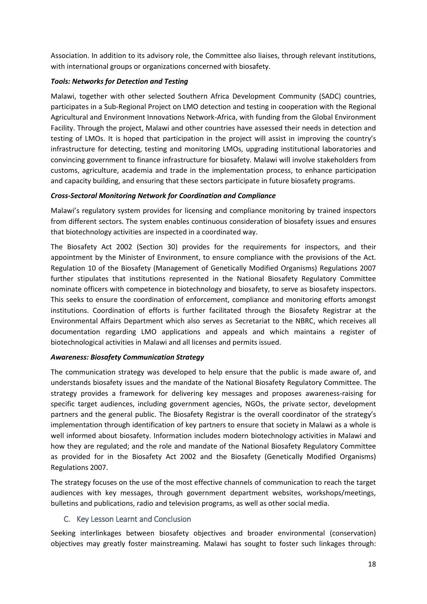Association. In addition to its advisory role, the Committee also liaises, through relevant institutions, with international groups or organizations concerned with biosafety.

# *Tools: Networks for Detection and Testing*

Malawi, together with other selected Southern Africa Development Community (SADC) countries, participates in a Sub-Regional Project on LMO detection and testing in cooperation with the Regional Agricultural and Environment Innovations Network-Africa, with funding from the Global Environment Facility. Through the project, Malawi and other countries have assessed their needs in detection and testing of LMOs. It is hoped that participation in the project will assist in improving the country's infrastructure for detecting, testing and monitoring LMOs, upgrading institutional laboratories and convincing government to finance infrastructure for biosafety. Malawi will involve stakeholders from customs, agriculture, academia and trade in the implementation process, to enhance participation and capacity building, and ensuring that these sectors participate in future biosafety programs.

# *Cross-Sectoral Monitoring Network for Coordination and Compliance*

Malawi's regulatory system provides for licensing and compliance monitoring by trained inspectors from different sectors. The system enables continuous consideration of biosafety issues and ensures that biotechnology activities are inspected in a coordinated way.

The Biosafety Act 2002 (Section 30) provides for the requirements for inspectors, and their appointment by the Minister of Environment, to ensure compliance with the provisions of the Act. Regulation 10 of the Biosafety (Management of Genetically Modified Organisms) Regulations 2007 further stipulates that institutions represented in the National Biosafety Regulatory Committee nominate officers with competence in biotechnology and biosafety, to serve as biosafety inspectors. This seeks to ensure the coordination of enforcement, compliance and monitoring efforts amongst institutions. Coordination of efforts is further facilitated through the Biosafety Registrar at the Environmental Affairs Department which also serves as Secretariat to the NBRC, which receives all documentation regarding LMO applications and appeals and which maintains a register of biotechnological activities in Malawi and all licenses and permits issued.

# *Awareness: Biosafety Communication Strategy*

The communication strategy was developed to help ensure that the public is made aware of, and understands biosafety issues and the mandate of the National Biosafety Regulatory Committee. The strategy provides a framework for delivering key messages and proposes awareness-raising for specific target audiences, including government agencies, NGOs, the private sector, development partners and the general public. The Biosafety Registrar is the overall coordinator of the strategy's implementation through identification of key partners to ensure that society in Malawi as a whole is well informed about biosafety. Information includes modern biotechnology activities in Malawi and how they are regulated; and the role and mandate of the National Biosafety Regulatory Committee as provided for in the Biosafety Act 2002 and the Biosafety (Genetically Modified Organisms) Regulations 2007.

The strategy focuses on the use of the most effective channels of communication to reach the target audiences with key messages, through government department websites, workshops/meetings, bulletins and publications, radio and television programs, as well as other social media.

# <span id="page-18-0"></span>C. Key Lesson Learnt and Conclusion

Seeking interlinkages between biosafety objectives and broader environmental (conservation) objectives may greatly foster mainstreaming. Malawi has sought to foster such linkages through: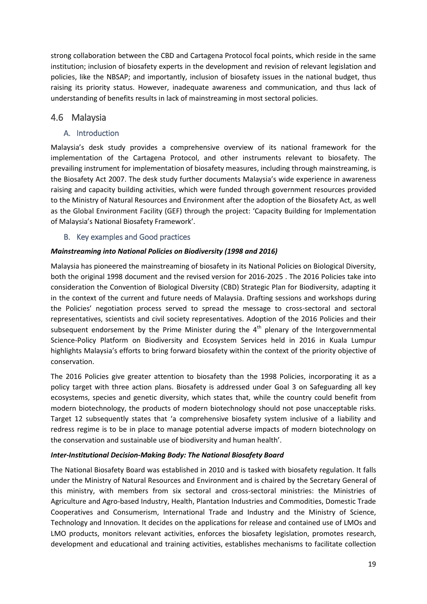strong collaboration between the CBD and Cartagena Protocol focal points, which reside in the same institution; inclusion of biosafety experts in the development and revision of relevant legislation and policies, like the NBSAP; and importantly, inclusion of biosafety issues in the national budget, thus raising its priority status. However, inadequate awareness and communication, and thus lack of understanding of benefits results in lack of mainstreaming in most sectoral policies.

# <span id="page-19-0"></span>4.6 Malaysia

# <span id="page-19-1"></span>A. Introduction

Malaysia's desk study provides a comprehensive overview of its national framework for the implementation of the Cartagena Protocol, and other instruments relevant to biosafety. The prevailing instrument for implementation of biosafety measures, including through mainstreaming, is the Biosafety Act 2007. The desk study further documents Malaysia's wide experience in awareness raising and capacity building activities, which were funded through government resources provided to the Ministry of Natural Resources and Environment after the adoption of the Biosafety Act, as well as the Global Environment Facility (GEF) through the project: 'Capacity Building for Implementation of Malaysia's National Biosafety Framework'.

# <span id="page-19-2"></span>B. Key examples and Good practices

# *Mainstreaming into National Policies on Biodiversity (1998 and 2016)*

Malaysia has pioneered the mainstreaming of biosafety in its National Policies on Biological Diversity, both the original 1998 document and the revised version for 2016-2025 . The 2016 Policies take into consideration the Convention of Biological Diversity (CBD) Strategic Plan for Biodiversity, adapting it in the context of the current and future needs of Malaysia. Drafting sessions and workshops during the Policies' negotiation process served to spread the message to cross-sectoral and sectoral representatives, scientists and civil society representatives. Adoption of the 2016 Policies and their subsequent endorsement by the Prime Minister during the  $4<sup>th</sup>$  plenary of the Intergovernmental Science-Policy Platform on Biodiversity and Ecosystem Services held in 2016 in Kuala Lumpur highlights Malaysia's efforts to bring forward biosafety within the context of the priority objective of conservation.

The 2016 Policies give greater attention to biosafety than the 1998 Policies, incorporating it as a policy target with three action plans. Biosafety is addressed under Goal 3 on Safeguarding all key ecosystems, species and genetic diversity, which states that, while the country could benefit from modern biotechnology, the products of modern biotechnology should not pose unacceptable risks. Target 12 subsequently states that 'a comprehensive biosafety system inclusive of a liability and redress regime is to be in place to manage potential adverse impacts of modern biotechnology on the conservation and sustainable use of biodiversity and human health'.

# *Inter-Institutional Decision-Making Body: The National Biosafety Board*

The National Biosafety Board was established in 2010 and is tasked with biosafety regulation. It falls under the Ministry of Natural Resources and Environment and is chaired by the Secretary General of this ministry, with members from six sectoral and cross-sectoral ministries: the Ministries of Agriculture and Agro-based Industry, Health, Plantation Industries and Commodities, Domestic Trade Cooperatives and Consumerism, International Trade and Industry and the Ministry of Science, Technology and Innovation. It decides on the applications for release and contained use of LMOs and LMO products, monitors relevant activities, enforces the biosafety legislation, promotes research, development and educational and training activities, establishes mechanisms to facilitate collection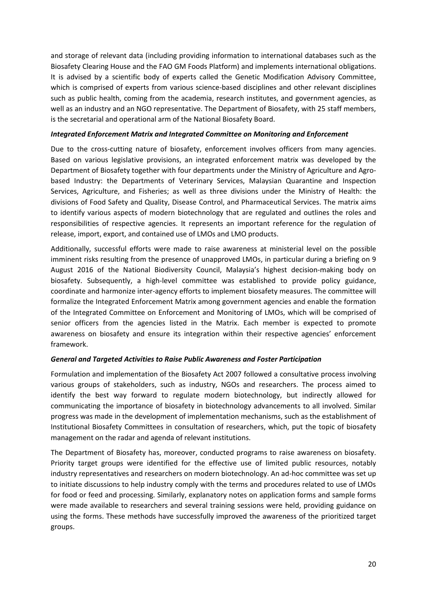and storage of relevant data (including providing information to international databases such as the Biosafety Clearing House and the FAO GM Foods Platform) and implements international obligations. It is advised by a scientific body of experts called the Genetic Modification Advisory Committee, which is comprised of experts from various science-based disciplines and other relevant disciplines such as public health, coming from the academia, research institutes, and government agencies, as well as an industry and an NGO representative. The Department of Biosafety, with 25 staff members, is the secretarial and operational arm of the National Biosafety Board.

#### *Integrated Enforcement Matrix and Integrated Committee on Monitoring and Enforcement*

Due to the cross-cutting nature of biosafety, enforcement involves officers from many agencies. Based on various legislative provisions, an integrated enforcement matrix was developed by the Department of Biosafety together with four departments under the Ministry of Agriculture and Agrobased Industry: the Departments of Veterinary Services, Malaysian Quarantine and Inspection Services, Agriculture, and Fisheries; as well as three divisions under the Ministry of Health: the divisions of Food Safety and Quality, Disease Control, and Pharmaceutical Services. The matrix aims to identify various aspects of modern biotechnology that are regulated and outlines the roles and responsibilities of respective agencies. It represents an important reference for the regulation of release, import, export, and contained use of LMOs and LMO products.

Additionally, successful efforts were made to raise awareness at ministerial level on the possible imminent risks resulting from the presence of unapproved LMOs, in particular during a briefing on 9 August 2016 of the National Biodiversity Council, Malaysia's highest decision-making body on biosafety. Subsequently, a high-level committee was established to provide policy guidance, coordinate and harmonize inter-agency efforts to implement biosafety measures. The committee will formalize the Integrated Enforcement Matrix among government agencies and enable the formation of the Integrated Committee on Enforcement and Monitoring of LMOs, which will be comprised of senior officers from the agencies listed in the Matrix. Each member is expected to promote awareness on biosafety and ensure its integration within their respective agencies' enforcement framework.

# *General and Targeted Activities to Raise Public Awareness and Foster Participation*

Formulation and implementation of the Biosafety Act 2007 followed a consultative process involving various groups of stakeholders, such as industry, NGOs and researchers. The process aimed to identify the best way forward to regulate modern biotechnology, but indirectly allowed for communicating the importance of biosafety in biotechnology advancements to all involved. Similar progress was made in the development of implementation mechanisms, such as the establishment of Institutional Biosafety Committees in consultation of researchers, which, put the topic of biosafety management on the radar and agenda of relevant institutions.

The Department of Biosafety has, moreover, conducted programs to raise awareness on biosafety. Priority target groups were identified for the effective use of limited public resources, notably industry representatives and researchers on modern biotechnology. An ad-hoc committee was set up to initiate discussions to help industry comply with the terms and procedures related to use of LMOs for food or feed and processing. Similarly, explanatory notes on application forms and sample forms were made available to researchers and several training sessions were held, providing guidance on using the forms. These methods have successfully improved the awareness of the prioritized target groups.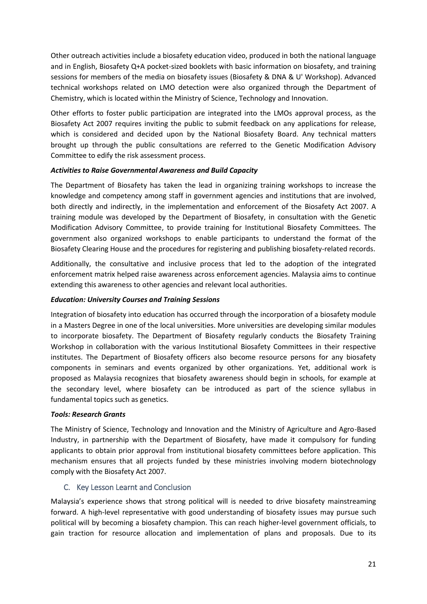Other outreach activities include a biosafety education video, produced in both the national language and in English, Biosafety Q+A pocket-sized booklets with basic information on biosafety, and training sessions for members of the media on biosafety issues (Biosafety & DNA & U' Workshop). Advanced technical workshops related on LMO detection were also organized through the Department of Chemistry, which is located within the Ministry of Science, Technology and Innovation.

Other efforts to foster public participation are integrated into the LMOs approval process, as the Biosafety Act 2007 requires inviting the public to submit feedback on any applications for release, which is considered and decided upon by the National Biosafety Board. Any technical matters brought up through the public consultations are referred to the Genetic Modification Advisory Committee to edify the risk assessment process.

# *Activities to Raise Governmental Awareness and Build Capacity*

The Department of Biosafety has taken the lead in organizing training workshops to increase the knowledge and competency among staff in government agencies and institutions that are involved, both directly and indirectly, in the implementation and enforcement of the Biosafety Act 2007. A training module was developed by the Department of Biosafety, in consultation with the Genetic Modification Advisory Committee, to provide training for Institutional Biosafety Committees. The government also organized workshops to enable participants to understand the format of the Biosafety Clearing House and the procedures for registering and publishing biosafety-related records.

Additionally, the consultative and inclusive process that led to the adoption of the integrated enforcement matrix helped raise awareness across enforcement agencies. Malaysia aims to continue extending this awareness to other agencies and relevant local authorities.

# *Education: University Courses and Training Sessions*

Integration of biosafety into education has occurred through the incorporation of a biosafety module in a Masters Degree in one of the local universities. More universities are developing similar modules to incorporate biosafety. The Department of Biosafety regularly conducts the Biosafety Training Workshop in collaboration with the various Institutional Biosafety Committees in their respective institutes. The Department of Biosafety officers also become resource persons for any biosafety components in seminars and events organized by other organizations. Yet, additional work is proposed as Malaysia recognizes that biosafety awareness should begin in schools, for example at the secondary level, where biosafety can be introduced as part of the science syllabus in fundamental topics such as genetics.

# *Tools: Research Grants*

The Ministry of Science, Technology and Innovation and the Ministry of Agriculture and Agro-Based Industry, in partnership with the Department of Biosafety, have made it compulsory for funding applicants to obtain prior approval from institutional biosafety committees before application. This mechanism ensures that all projects funded by these ministries involving modern biotechnology comply with the Biosafety Act 2007.

# <span id="page-21-0"></span>C. Key Lesson Learnt and Conclusion

Malaysia's experience shows that strong political will is needed to drive biosafety mainstreaming forward. A high-level representative with good understanding of biosafety issues may pursue such political will by becoming a biosafety champion. This can reach higher-level government officials, to gain traction for resource allocation and implementation of plans and proposals. Due to its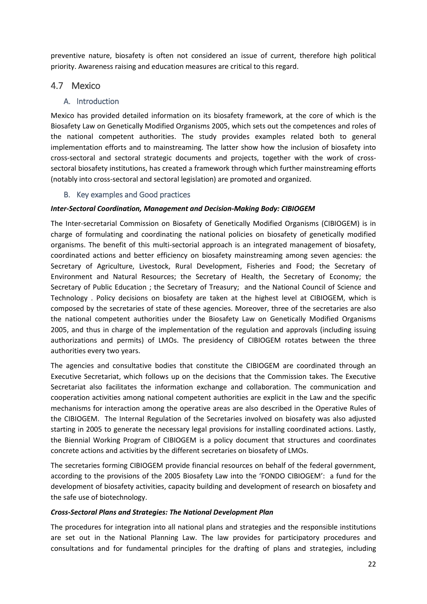preventive nature, biosafety is often not considered an issue of current, therefore high political priority. Awareness raising and education measures are critical to this regard.

# <span id="page-22-0"></span>4.7 Mexico

# <span id="page-22-1"></span>A. Introduction

Mexico has provided detailed information on its biosafety framework, at the core of which is the Biosafety Law on Genetically Modified Organisms 2005, which sets out the competences and roles of the national competent authorities. The study provides examples related both to general implementation efforts and to mainstreaming. The latter show how the inclusion of biosafety into cross-sectoral and sectoral strategic documents and projects, together with the work of crosssectoral biosafety institutions, has created a framework through which further mainstreaming efforts (notably into cross-sectoral and sectoral legislation) are promoted and organized.

# <span id="page-22-2"></span>B. Key examples and Good practices

# *Inter-Sectoral Coordination, Management and Decision-Making Body: CIBIOGEM*

The Inter-secretarial Commission on Biosafety of Genetically Modified Organisms (CIBIOGEM) is in charge of formulating and coordinating the national policies on biosafety of genetically modified organisms. The benefit of this multi-sectorial approach is an integrated management of biosafety, coordinated actions and better efficiency on biosafety mainstreaming among seven agencies: the Secretary of Agriculture, Livestock, Rural Development, Fisheries and Food; the Secretary of Environment and Natural Resources; the Secretary of Health, the Secretary of Economy; the Secretary of Public Education ; the Secretary of Treasury; and the National Council of Science and Technology . Policy decisions on biosafety are taken at the highest level at CIBIOGEM, which is composed by the secretaries of state of these agencies. Moreover, three of the secretaries are also the national competent authorities under the Biosafety Law on Genetically Modified Organisms 2005, and thus in charge of the implementation of the regulation and approvals (including issuing authorizations and permits) of LMOs. The presidency of CIBIOGEM rotates between the three authorities every two years.

The agencies and consultative bodies that constitute the CIBIOGEM are coordinated through an Executive Secretariat, which follows up on the decisions that the Commission takes. The Executive Secretariat also facilitates the information exchange and collaboration. The communication and cooperation activities among national competent authorities are explicit in the Law and the specific mechanisms for interaction among the operative areas are also described in the Operative Rules of the CIBIOGEM. The Internal Regulation of the Secretaries involved on biosafety was also adjusted starting in 2005 to generate the necessary legal provisions for installing coordinated actions. Lastly, the Biennial Working Program of CIBIOGEM is a policy document that structures and coordinates concrete actions and activities by the different secretaries on biosafety of LMOs.

The secretaries forming CIBIOGEM provide financial resources on behalf of the federal government, according to the provisions of the 2005 Biosafety Law into the 'FONDO CIBIOGEM': a fund for the development of biosafety activities, capacity building and development of research on biosafety and the safe use of biotechnology.

# *Cross-Sectoral Plans and Strategies: The National Development Plan*

The procedures for integration into all national plans and strategies and the responsible institutions are set out in the National Planning Law. The law provides for participatory procedures and consultations and for fundamental principles for the drafting of plans and strategies, including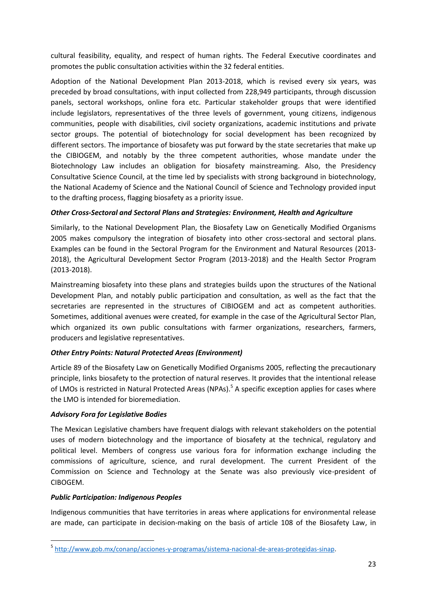cultural feasibility, equality, and respect of human rights. The Federal Executive coordinates and promotes the public consultation activities within the 32 federal entities.

Adoption of the National Development Plan 2013-2018, which is revised every six years, was preceded by broad consultations, with input collected from 228,949 participants, through discussion panels, sectoral workshops, online fora etc. Particular stakeholder groups that were identified include legislators, representatives of the three levels of government, young citizens, indigenous communities, people with disabilities, civil society organizations, academic institutions and private sector groups. The potential of biotechnology for social development has been recognized by different sectors. The importance of biosafety was put forward by the state secretaries that make up the CIBIOGEM, and notably by the three competent authorities, whose mandate under the Biotechnology Law includes an obligation for biosafety mainstreaming. Also, the Presidency Consultative Science Council, at the time led by specialists with strong background in biotechnology, the National Academy of Science and the National Council of Science and Technology provided input to the drafting process, flagging biosafety as a priority issue.

# *Other Cross-Sectoral and Sectoral Plans and Strategies: Environment, Health and Agriculture*

Similarly, to the National Development Plan, the Biosafety Law on Genetically Modified Organisms 2005 makes compulsory the integration of biosafety into other cross-sectoral and sectoral plans. Examples can be found in the Sectoral Program for the Environment and Natural Resources (2013- 2018), the Agricultural Development Sector Program (2013-2018) and the Health Sector Program (2013-2018).

Mainstreaming biosafety into these plans and strategies builds upon the structures of the National Development Plan, and notably public participation and consultation, as well as the fact that the secretaries are represented in the structures of CIBIOGEM and act as competent authorities. Sometimes, additional avenues were created, for example in the case of the Agricultural Sector Plan, which organized its own public consultations with farmer organizations, researchers, farmers, producers and legislative representatives.

# *Other Entry Points: Natural Protected Areas (Environment)*

Article 89 of the Biosafety Law on Genetically Modified Organisms 2005, reflecting the precautionary principle, links biosafety to the protection of natural reserves. It provides that the intentional release of LMOs is restricted in Natural Protected Areas (NPAs).<sup>5</sup> A specific exception applies for cases where the LMO is intended for bioremediation.

# *Advisory Fora for Legislative Bodies*

The Mexican Legislative chambers have frequent dialogs with relevant stakeholders on the potential uses of modern biotechnology and the importance of biosafety at the technical, regulatory and political level. Members of congress use various fora for information exchange including the commissions of agriculture, science, and rural development. The current President of the Commission on Science and Technology at the Senate was also previously vice-president of CIBOGEM.

# *Public Participation: Indigenous Peoples*

**.** 

Indigenous communities that have territories in areas where applications for environmental release are made, can participate in decision-making on the basis of article 108 of the Biosafety Law, in

<sup>5</sup> [http://www.gob.mx/conanp/acciones-y-programas/sistema-nacional-de-areas-protegidas-sinap.](http://www.gob.mx/conanp/acciones-y-programas/sistema-nacional-de-areas-protegidas-sinap)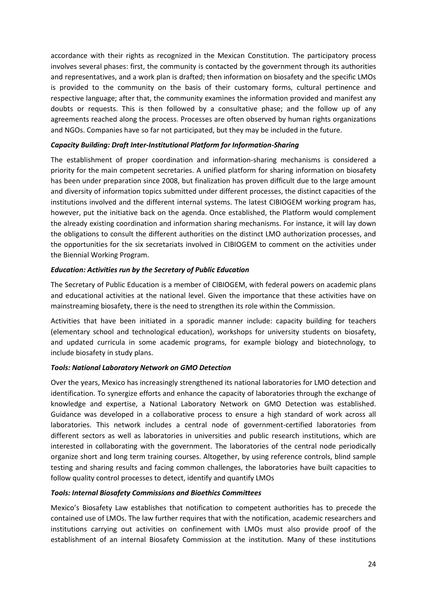accordance with their rights as recognized in the Mexican Constitution. The participatory process involves several phases: first, the community is contacted by the government through its authorities and representatives, and a work plan is drafted; then information on biosafety and the specific LMOs is provided to the community on the basis of their customary forms, cultural pertinence and respective language; after that, the community examines the information provided and manifest any doubts or requests. This is then followed by a consultative phase; and the follow up of any agreements reached along the process. Processes are often observed by human rights organizations and NGOs. Companies have so far not participated, but they may be included in the future.

#### *Capacity Building: Draft Inter-Institutional Platform for Information-Sharing*

The establishment of proper coordination and information-sharing mechanisms is considered a priority for the main competent secretaries. A unified platform for sharing information on biosafety has been under preparation since 2008, but finalization has proven difficult due to the large amount and diversity of information topics submitted under different processes, the distinct capacities of the institutions involved and the different internal systems. The latest CIBIOGEM working program has, however, put the initiative back on the agenda. Once established, the Platform would complement the already existing coordination and information sharing mechanisms. For instance, it will lay down the obligations to consult the different authorities on the distinct LMO authorization processes, and the opportunities for the six secretariats involved in CIBIOGEM to comment on the activities under the Biennial Working Program.

#### *Education: Activities run by the Secretary of Public Education*

The Secretary of Public Education is a member of CIBIOGEM, with federal powers on academic plans and educational activities at the national level. Given the importance that these activities have on mainstreaming biosafety, there is the need to strengthen its role within the Commission.

Activities that have been initiated in a sporadic manner include: capacity building for teachers (elementary school and technological education), workshops for university students on biosafety, and updated curricula in some academic programs, for example biology and biotechnology, to include biosafety in study plans.

# *Tools: National Laboratory Network on GMO Detection*

Over the years, Mexico has increasingly strengthened its national laboratories for LMO detection and identification. To synergize efforts and enhance the capacity of laboratories through the exchange of knowledge and expertise, a National Laboratory Network on GMO Detection was established. Guidance was developed in a collaborative process to ensure a high standard of work across all laboratories. This network includes a central node of government-certified laboratories from different sectors as well as laboratories in universities and public research institutions, which are interested in collaborating with the government. The laboratories of the central node periodically organize short and long term training courses. Altogether, by using reference controls, blind sample testing and sharing results and facing common challenges, the laboratories have built capacities to follow quality control processes to detect, identify and quantify LMOs

# *Tools: Internal Biosafety Commissions and Bioethics Committees*

Mexico's Biosafety Law establishes that notification to competent authorities has to precede the contained use of LMOs. The law further requires that with the notification, academic researchers and institutions carrying out activities on confinement with LMOs must also provide proof of the establishment of an internal Biosafety Commission at the institution. Many of these institutions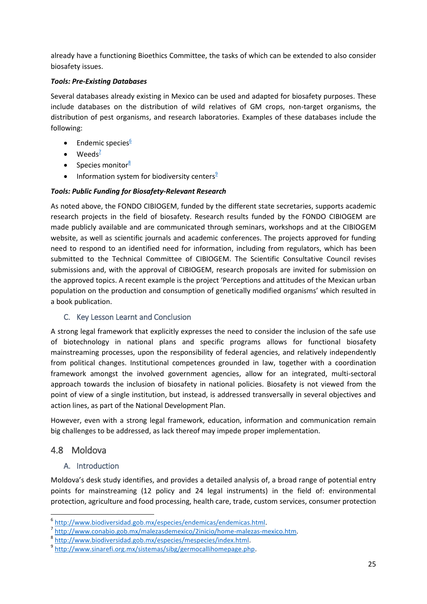already have a functioning Bioethics Committee, the tasks of which can be extended to also consider biosafety issues.

# *Tools: Pre-Existing Databases*

Several databases already existing in Mexico can be used and adapted for biosafety purposes. These include databases on the distribution of wild relatives of GM crops, non-target organisms, the distribution of pest organisms, and research laboratories. Examples of these databases include the following:

- **•** Endemic species $\frac{6}{5}$
- $\bullet$  Weeds<sup>7</sup>
- Species monitor $8$
- Information system for biodiversity centers $9$

# *Tools: Public Funding for Biosafety-Relevant Research*

As noted above, the FONDO CIBIOGEM, funded by the different state secretaries, supports academic research projects in the field of biosafety. Research results funded by the FONDO CIBIOGEM are made publicly available and are communicated through seminars, workshops and at the CIBIOGEM website, as well as scientific journals and academic conferences. The projects approved for funding need to respond to an identified need for information, including from regulators, which has been submitted to the Technical Committee of CIBIOGEM. The Scientific Consultative Council revises submissions and, with the approval of CIBIOGEM, research proposals are invited for submission on the approved topics. A recent example is the project 'Perceptions and attitudes of the Mexican urban population on the production and consumption of genetically modified organisms' which resulted in a book publication.

# <span id="page-25-0"></span>C. Key Lesson Learnt and Conclusion

A strong legal framework that explicitly expresses the need to consider the inclusion of the safe use of biotechnology in national plans and specific programs allows for functional biosafety mainstreaming processes, upon the responsibility of federal agencies, and relatively independently from political changes. Institutional competences grounded in law, together with a coordination framework amongst the involved government agencies, allow for an integrated, multi-sectoral approach towards the inclusion of biosafety in national policies. Biosafety is not viewed from the point of view of a single institution, but instead, is addressed transversally in several objectives and action lines, as part of the National Development Plan.

However, even with a strong legal framework, education, information and communication remain big challenges to be addressed, as lack thereof may impede proper implementation.

# <span id="page-25-1"></span>4.8 Moldova

1

# <span id="page-25-2"></span>A. Introduction

Moldova's desk study identifies, and provides a detailed analysis of, a broad range of potential entry points for mainstreaming (12 policy and 24 legal instruments) in the field of: environmental protection, agriculture and food processing, health care, trade, custom services, consumer protection

<sup>6</sup> [http://www.biodiversidad.gob.mx/especies/endemicas/endemicas.html.](http://www.biodiversidad.gob.mx/especies/endemicas/endemicas.html) 

<sup>&</sup>lt;sup>7</sup> [http://www.conabio.gob.mx/malezasdemexico/2inicio/home-malezas-mexico.htm.](http://www.conabio.gob.mx/malezasdemexico/2inicio/home-malezas-mexico.htm)

<sup>&</sup>lt;sup>8</sup> http://www.biodiversidad.gob.mx/especies/mespecies/index.html.

<sup>9</sup> [http://www.sinarefi.org.mx/sistemas/sibg/germocallihomepage.php.](http://www.sinarefi.org.mx/sistemas/sibg/germocallihomepage.php)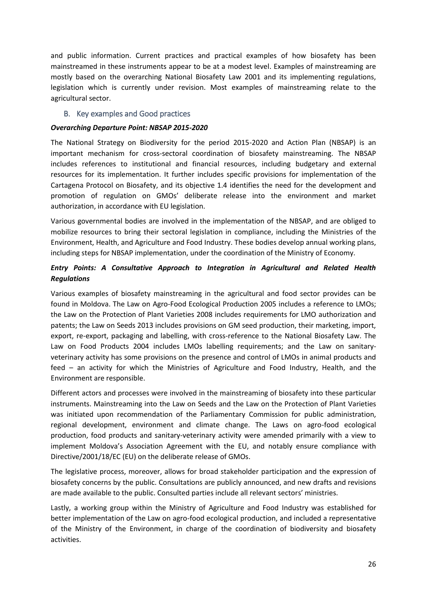and public information. Current practices and practical examples of how biosafety has been mainstreamed in these instruments appear to be at a modest level. Examples of mainstreaming are mostly based on the overarching National Biosafety Law 2001 and its implementing regulations, legislation which is currently under revision. Most examples of mainstreaming relate to the agricultural sector.

# <span id="page-26-0"></span>B. Key examples and Good practices

#### *Overarching Departure Point: NBSAP 2015-2020*

The National Strategy on Biodiversity for the period 2015-2020 and Action Plan (NBSAP) is an important mechanism for cross-sectoral coordination of biosafety mainstreaming. The NBSAP includes references to institutional and financial resources, including budgetary and external resources for its implementation. It further includes specific provisions for implementation of the Cartagena Protocol on Biosafety, and its objective 1.4 identifies the need for the development and promotion of regulation on GMOs' deliberate release into the environment and market authorization, in accordance with EU legislation.

Various governmental bodies are involved in the implementation of the NBSAP, and are obliged to mobilize resources to bring their sectoral legislation in compliance, including the Ministries of the Environment, Health, and Agriculture and Food Industry. These bodies develop annual working plans, including steps for NBSAP implementation, under the coordination of the Ministry of Economy.

# *Entry Points: A Consultative Approach to Integration in Agricultural and Related Health Regulations*

Various examples of biosafety mainstreaming in the agricultural and food sector provides can be found in Moldova. The Law on Agro-Food Ecological Production 2005 includes a reference to LMOs; the Law on the Protection of Plant Varieties 2008 includes requirements for LMO authorization and patents; the Law on Seeds 2013 includes provisions on GM seed production, their marketing, import, export, re-export, packaging and labelling, with cross-reference to the National Biosafety Law. The Law on Food Products 2004 includes LMOs labelling requirements; and the Law on sanitaryveterinary activity has some provisions on the presence and control of LMOs in animal products and feed – an activity for which the Ministries of Agriculture and Food Industry, Health, and the Environment are responsible.

Different actors and processes were involved in the mainstreaming of biosafety into these particular instruments. Mainstreaming into the Law on Seeds and the Law on the Protection of Plant Varieties was initiated upon recommendation of the Parliamentary Commission for public administration, regional development, environment and climate change. The Laws on agro-food ecological production, food products and sanitary-veterinary activity were amended primarily with a view to implement Moldova's Association Agreement with the EU, and notably ensure compliance with Directive/2001/18/EC (EU) on the deliberate release of GMOs.

The legislative process, moreover, allows for broad stakeholder participation and the expression of biosafety concerns by the public. Consultations are publicly announced, and new drafts and revisions are made available to the public. Consulted parties include all relevant sectors' ministries.

Lastly, a working group within the Ministry of Agriculture and Food Industry was established for better implementation of the Law on agro-food ecological production, and included a representative of the Ministry of the Environment, in charge of the coordination of biodiversity and biosafety activities.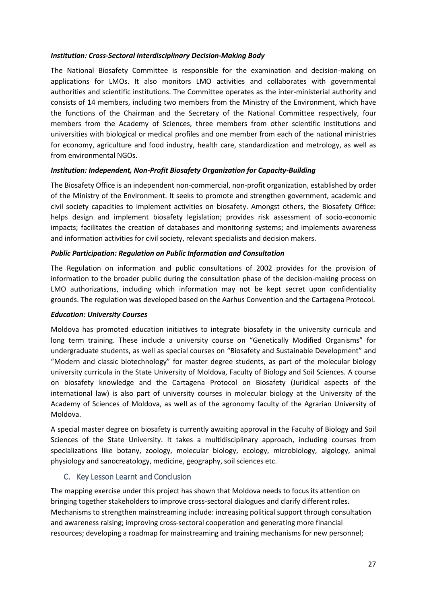#### *Institution: Cross-Sectoral Interdisciplinary Decision-Making Body*

The National Biosafety Committee is responsible for the examination and decision-making on applications for LMOs. It also monitors LMO activities and collaborates with governmental authorities and scientific institutions. The Committee operates as the inter-ministerial authority and consists of 14 members, including two members from the Ministry of the Environment, which have the functions of the Chairman and the Secretary of the National Committee respectively, four members from the Academy of Sciences, three members from other scientific institutions and universities with biological or medical profiles and one member from each of the national ministries for economy, agriculture and food industry, health care, standardization and metrology, as well as from environmental NGOs.

# *Institution: Independent, Non-Profit Biosafety Organization for Capacity-Building*

The Biosafety Office is an independent non-commercial, non-profit organization, established by order of the Ministry of the Environment. It seeks to promote and strengthen government, academic and civil society capacities to implement activities on biosafety. Amongst others, the Biosafety Office: helps design and implement biosafety legislation; provides risk assessment of socio-economic impacts; facilitates the creation of databases and monitoring systems; and implements awareness and information activities for civil society, relevant specialists and decision makers.

#### *Public Participation: Regulation on Public Information and Consultation*

The Regulation on information and public consultations of 2002 provides for the provision of information to the broader public during the consultation phase of the decision-making process on LMO authorizations, including which information may not be kept secret upon confidentiality grounds. The regulation was developed based on the Aarhus Convention and the Cartagena Protocol.

#### *Education: University Courses*

Moldova has promoted education initiatives to integrate biosafety in the university curricula and long term training. These include a university course on "Genetically Modified Organisms" for undergraduate students, as well as special courses on "Biosafety and Sustainable Development" and "Modern and classic biotechnology" for master degree students, as part of the molecular biology university curricula in the State University of Moldova, Faculty of Biology and Soil Sciences. A course on biosafety knowledge and the Cartagena Protocol on Biosafety (Juridical aspects of the international law) is also part of university courses in molecular biology at the University of the Academy of Sciences of Moldova, as well as of the agronomy faculty of the Agrarian University of Moldova.

A special master degree on biosafety is currently awaiting approval in the Faculty of Biology and Soil Sciences of the State University. It takes a multidisciplinary approach, including courses from specializations like botany, zoology, molecular biology, ecology, microbiology, algology, animal physiology and sanocreatology, medicine, geography, soil sciences etc.

# <span id="page-27-0"></span>C. Key Lesson Learnt and Conclusion

The mapping exercise under this project has shown that Moldova needs to focus its attention on bringing together stakeholders to improve cross-sectoral dialogues and clarify different roles. Mechanisms to strengthen mainstreaming include: increasing political support through consultation and awareness raising; improving cross-sectoral cooperation and generating more financial resources; developing a roadmap for mainstreaming and training mechanisms for new personnel;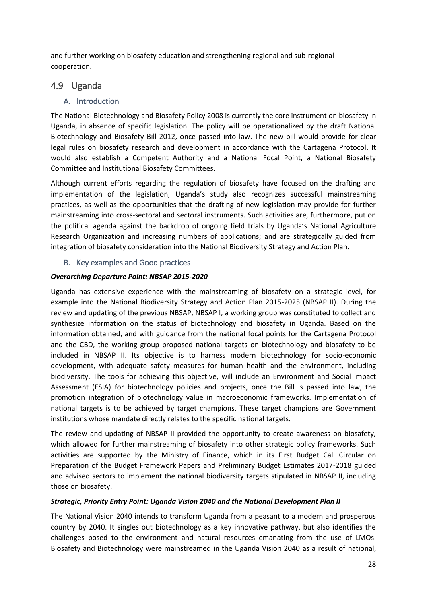and further working on biosafety education and strengthening regional and sub-regional cooperation.

# <span id="page-28-0"></span>4.9 Uganda

# <span id="page-28-1"></span>A. Introduction

The National Biotechnology and Biosafety Policy 2008 is currently the core instrument on biosafety in Uganda, in absence of specific legislation. The policy will be operationalized by the draft National Biotechnology and Biosafety Bill 2012, once passed into law. The new bill would provide for clear legal rules on biosafety research and development in accordance with the Cartagena Protocol. It would also establish a Competent Authority and a National Focal Point, a National Biosafety Committee and Institutional Biosafety Committees.

Although current efforts regarding the regulation of biosafety have focused on the drafting and implementation of the legislation, Uganda's study also recognizes successful mainstreaming practices, as well as the opportunities that the drafting of new legislation may provide for further mainstreaming into cross-sectoral and sectoral instruments. Such activities are, furthermore, put on the political agenda against the backdrop of ongoing field trials by Uganda's National Agriculture Research Organization and increasing numbers of applications; and are strategically guided from integration of biosafety consideration into the National Biodiversity Strategy and Action Plan.

# B. Key examples and Good practices

# <span id="page-28-2"></span>*Overarching Departure Point: NBSAP 2015-2020*

Uganda has extensive experience with the mainstreaming of biosafety on a strategic level, for example into the National Biodiversity Strategy and Action Plan 2015-2025 (NBSAP II). During the review and updating of the previous NBSAP, NBSAP I, a working group was constituted to collect and synthesize information on the status of biotechnology and biosafety in Uganda. Based on the information obtained, and with guidance from the national focal points for the Cartagena Protocol and the CBD, the working group proposed national targets on biotechnology and biosafety to be included in NBSAP II. Its objective is to harness modern biotechnology for socio-economic development, with adequate safety measures for human health and the environment, including biodiversity. The tools for achieving this objective, will include an Environment and Social Impact Assessment (ESIA) for biotechnology policies and projects, once the Bill is passed into law, the promotion integration of biotechnology value in macroeconomic frameworks. Implementation of national targets is to be achieved by target champions. These target champions are Government institutions whose mandate directly relates to the specific national targets.

The review and updating of NBSAP II provided the opportunity to create awareness on biosafety, which allowed for further mainstreaming of biosafety into other strategic policy frameworks. Such activities are supported by the Ministry of Finance, which in its First Budget Call Circular on Preparation of the Budget Framework Papers and Preliminary Budget Estimates 2017-2018 guided and advised sectors to implement the national biodiversity targets stipulated in NBSAP II, including those on biosafety.

# *Strategic, Priority Entry Point: Uganda Vision 2040 and the National Development Plan II*

The National Vision 2040 intends to transform Uganda from a peasant to a modern and prosperous country by 2040. It singles out biotechnology as a key innovative pathway, but also identifies the challenges posed to the environment and natural resources emanating from the use of LMOs. Biosafety and Biotechnology were mainstreamed in the Uganda Vision 2040 as a result of national,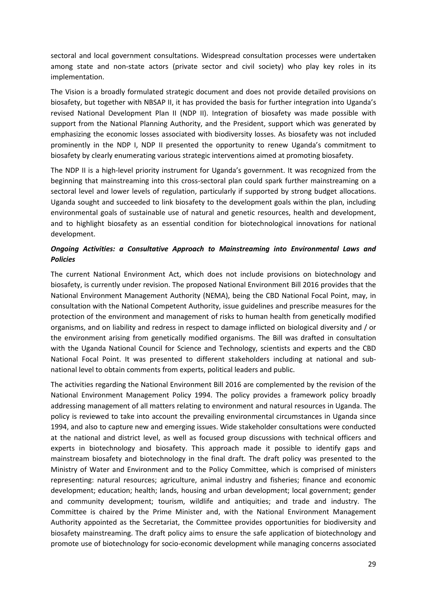sectoral and local government consultations. Widespread consultation processes were undertaken among state and non-state actors (private sector and civil society) who play key roles in its implementation.

The Vision is a broadly formulated strategic document and does not provide detailed provisions on biosafety, but together with NBSAP II, it has provided the basis for further integration into Uganda's revised National Development Plan II (NDP II). Integration of biosafety was made possible with support from the National Planning Authority, and the President, support which was generated by emphasizing the economic losses associated with biodiversity losses. As biosafety was not included prominently in the NDP I, NDP II presented the opportunity to renew Uganda's commitment to biosafety by clearly enumerating various strategic interventions aimed at promoting biosafety.

The NDP II is a high-level priority instrument for Uganda's government. It was recognized from the beginning that mainstreaming into this cross-sectoral plan could spark further mainstreaming on a sectoral level and lower levels of regulation, particularly if supported by strong budget allocations. Uganda sought and succeeded to link biosafety to the development goals within the plan, including environmental goals of sustainable use of natural and genetic resources, health and development, and to highlight biosafety as an essential condition for biotechnological innovations for national development.

# *Ongoing Activities: a Consultative Approach to Mainstreaming into Environmental Laws and Policies*

The current National Environment Act, which does not include provisions on biotechnology and biosafety, is currently under revision. The proposed National Environment Bill 2016 provides that the National Environment Management Authority (NEMA), being the CBD National Focal Point, may, in consultation with the National Competent Authority, issue guidelines and prescribe measures for the protection of the environment and management of risks to human health from genetically modified organisms, and on liability and redress in respect to damage inflicted on biological diversity and / or the environment arising from genetically modified organisms. The Bill was drafted in consultation with the Uganda National Council for Science and Technology, scientists and experts and the CBD National Focal Point. It was presented to different stakeholders including at national and subnational level to obtain comments from experts, political leaders and public.

The activities regarding the National Environment Bill 2016 are complemented by the revision of the National Environment Management Policy 1994. The policy provides a framework policy broadly addressing management of all matters relating to environment and natural resources in Uganda. The policy is reviewed to take into account the prevailing environmental circumstances in Uganda since 1994, and also to capture new and emerging issues. Wide stakeholder consultations were conducted at the national and district level, as well as focused group discussions with technical officers and experts in biotechnology and biosafety. This approach made it possible to identify gaps and mainstream biosafety and biotechnology in the final draft. The draft policy was presented to the Ministry of Water and Environment and to the Policy Committee, which is comprised of ministers representing: natural resources; agriculture, animal industry and fisheries; finance and economic development; education; health; lands, housing and urban development; local government; gender and community development; tourism, wildlife and antiquities; and trade and industry. The Committee is chaired by the Prime Minister and, with the National Environment Management Authority appointed as the Secretariat, the Committee provides opportunities for biodiversity and biosafety mainstreaming. The draft policy aims to ensure the safe application of biotechnology and promote use of biotechnology for socio-economic development while managing concerns associated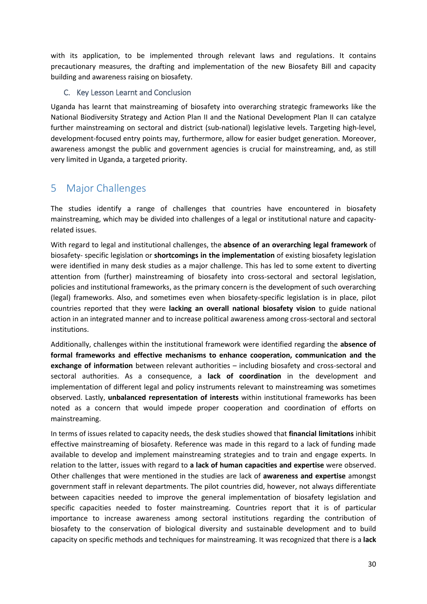with its application, to be implemented through relevant laws and regulations. It contains precautionary measures, the drafting and implementation of the new Biosafety Bill and capacity building and awareness raising on biosafety.

# <span id="page-30-0"></span>C. Key Lesson Learnt and Conclusion

Uganda has learnt that mainstreaming of biosafety into overarching strategic frameworks like the National Biodiversity Strategy and Action Plan II and the National Development Plan II can catalyze further mainstreaming on sectoral and district (sub-national) legislative levels. Targeting high-level, development-focused entry points may, furthermore, allow for easier budget generation. Moreover, awareness amongst the public and government agencies is crucial for mainstreaming, and, as still very limited in Uganda, a targeted priority.

# <span id="page-30-1"></span>5 Major Challenges

The studies identify a range of challenges that countries have encountered in biosafety mainstreaming, which may be divided into challenges of a legal or institutional nature and capacityrelated issues.

With regard to legal and institutional challenges, the **absence of an overarching legal framework** of biosafety- specific legislation or **shortcomings in the implementation** of existing biosafety legislation were identified in many desk studies as a major challenge. This has led to some extent to diverting attention from (further) mainstreaming of biosafety into cross-sectoral and sectoral legislation, policies and institutional frameworks, as the primary concern is the development of such overarching (legal) frameworks. Also, and sometimes even when biosafety-specific legislation is in place, pilot countries reported that they were **lacking an overall national biosafety vision** to guide national action in an integrated manner and to increase political awareness among cross-sectoral and sectoral institutions.

Additionally, challenges within the institutional framework were identified regarding the **absence of formal frameworks and effective mechanisms to enhance cooperation, communication and the exchange of information** between relevant authorities – including biosafety and cross-sectoral and sectoral authorities. As a consequence, a **lack of coordination** in the development and implementation of different legal and policy instruments relevant to mainstreaming was sometimes observed. Lastly, **unbalanced representation of interests** within institutional frameworks has been noted as a concern that would impede proper cooperation and coordination of efforts on mainstreaming.

In terms of issues related to capacity needs, the desk studies showed that **financial limitations** inhibit effective mainstreaming of biosafety. Reference was made in this regard to a lack of funding made available to develop and implement mainstreaming strategies and to train and engage experts. In relation to the latter, issues with regard to **a lack of human capacities and expertise** were observed. Other challenges that were mentioned in the studies are lack of **awareness and expertise** amongst government staff in relevant departments. The pilot countries did, however, not always differentiate between capacities needed to improve the general implementation of biosafety legislation and specific capacities needed to foster mainstreaming. Countries report that it is of particular importance to increase awareness among sectoral institutions regarding the contribution of biosafety to the conservation of biological diversity and sustainable development and to build capacity on specific methods and techniques for mainstreaming. It was recognized that there is a **lack**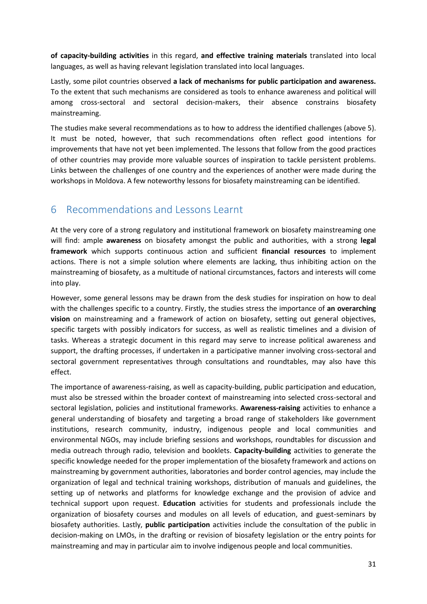**of capacity-building activities** in this regard, **and effective training materials** translated into local languages, as well as having relevant legislation translated into local languages.

Lastly, some pilot countries observed **a lack of mechanisms for public participation and awareness.**  To the extent that such mechanisms are considered as tools to enhance awareness and political will among cross-sectoral and sectoral decision-makers, their absence constrains biosafety mainstreaming.

The studies make several recommendations as to how to address the identified challenges (above [5\)](#page-30-1). It must be noted, however, that such recommendations often reflect good intentions for improvements that have not yet been implemented. The lessons that follow from the good practices of other countries may provide more valuable sources of inspiration to tackle persistent problems. Links between the challenges of one country and the experiences of another were made during the workshops in Moldova. A few noteworthy lessons for biosafety mainstreaming can be identified.

# <span id="page-31-0"></span>6 Recommendations and Lessons Learnt

At the very core of a strong regulatory and institutional framework on biosafety mainstreaming one will find: ample **awareness** on biosafety amongst the public and authorities, with a strong **legal framework** which supports continuous action and sufficient **financial resources** to implement actions. There is not a simple solution where elements are lacking, thus inhibiting action on the mainstreaming of biosafety, as a multitude of national circumstances, factors and interests will come into play.

However, some general lessons may be drawn from the desk studies for inspiration on how to deal with the challenges specific to a country. Firstly, the studies stress the importance of **an overarching vision** on mainstreaming and a framework of action on biosafety, setting out general objectives, specific targets with possibly indicators for success, as well as realistic timelines and a division of tasks. Whereas a strategic document in this regard may serve to increase political awareness and support, the drafting processes, if undertaken in a participative manner involving cross-sectoral and sectoral government representatives through consultations and roundtables, may also have this effect.

The importance of awareness-raising, as well as capacity-building, public participation and education, must also be stressed within the broader context of mainstreaming into selected cross-sectoral and sectoral legislation, policies and institutional frameworks. **Awareness-raising** activities to enhance a general understanding of biosafety and targeting a broad range of stakeholders like government institutions, research community, industry, indigenous people and local communities and environmental NGOs, may include briefing sessions and workshops, roundtables for discussion and media outreach through radio, television and booklets. **Capacity-building** activities to generate the specific knowledge needed for the proper implementation of the biosafety framework and actions on mainstreaming by government authorities, laboratories and border control agencies, may include the organization of legal and technical training workshops, distribution of manuals and guidelines, the setting up of networks and platforms for knowledge exchange and the provision of advice and technical support upon request. **Education** activities for students and professionals include the organization of biosafety courses and modules on all levels of education, and guest-seminars by biosafety authorities. Lastly, **public participation** activities include the consultation of the public in decision-making on LMOs, in the drafting or revision of biosafety legislation or the entry points for mainstreaming and may in particular aim to involve indigenous people and local communities.